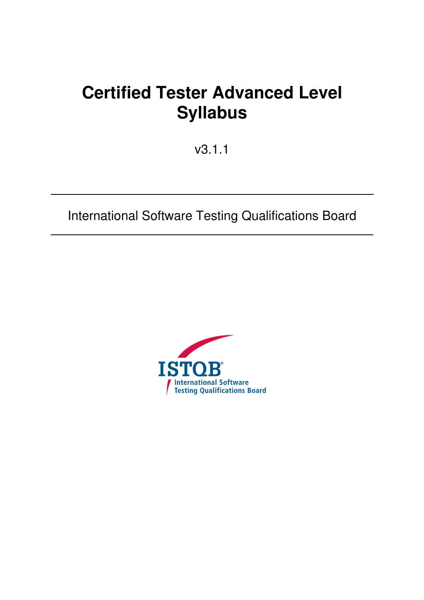# **Certified Tester Advanced Level Syllabus**

v3.1.1

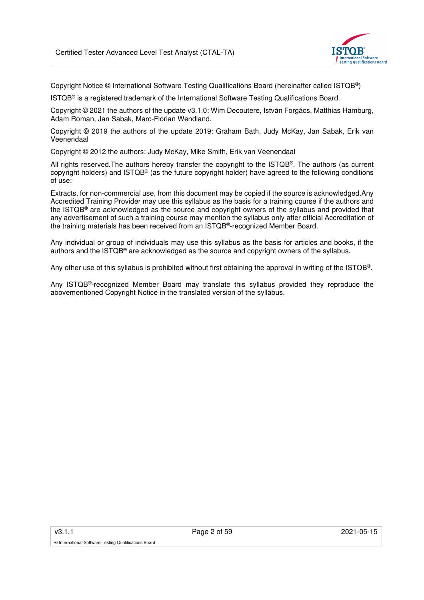

Copyright Notice © International Software Testing Qualifications Board (hereinafter called ISTQB®)

ISTQB® is a registered trademark of the International Software Testing Qualifications Board.

Copyright © 2021 the authors of the update v3.1.0: Wim Decoutere, István Forgács, Matthias Hamburg, Adam Roman, Jan Sabak, Marc-Florian Wendland.

Copyright © 2019 the authors of the update 2019: Graham Bath, Judy McKay, Jan Sabak, Erik van Veenendaal

Copyright © 2012 the authors: Judy McKay, Mike Smith, Erik van Veenendaal

All rights reserved.The authors hereby transfer the copyright to the ISTQB®. The authors (as current copyright holders) and ISTQB® (as the future copyright holder) have agreed to the following conditions of use:

Extracts, for non-commercial use, from this document may be copied if the source is acknowledged.Any Accredited Training Provider may use this syllabus as the basis for a training course if the authors and the ISTQB® are acknowledged as the source and copyright owners of the syllabus and provided that any advertisement of such a training course may mention the syllabus only after official Accreditation of the training materials has been received from an ISTQB®-recognized Member Board.

Any individual or group of individuals may use this syllabus as the basis for articles and books, if the authors and the ISTQB® are acknowledged as the source and copyright owners of the syllabus.

Any other use of this syllabus is prohibited without first obtaining the approval in writing of the ISTQB®.

Any ISTQB®-recognized Member Board may translate this syllabus provided they reproduce the abovementioned Copyright Notice in the translated version of the syllabus.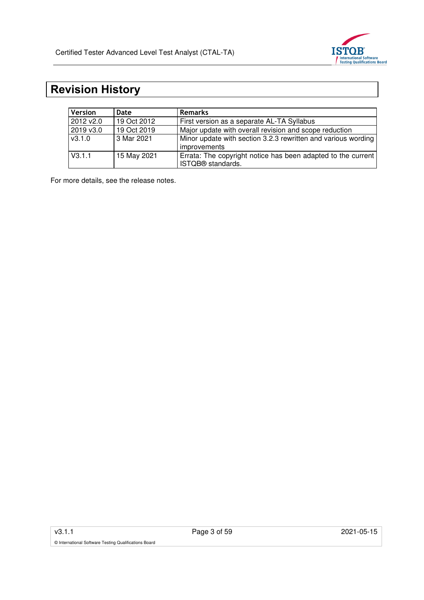

# **Revision History**

| <b>Version</b> | Date        | <b>Remarks</b>                                                                       |  |
|----------------|-------------|--------------------------------------------------------------------------------------|--|
| 2012 v2.0      | 19 Oct 2012 | First version as a separate AL-TA Syllabus                                           |  |
| 2019 v3.0      | 19 Oct 2019 | Major update with overall revision and scope reduction                               |  |
| $\sqrt{3.1.0}$ | 3 Mar 2021  | Minor update with section 3.2.3 rewritten and various wording<br><i>improvements</i> |  |
| V3.1.1         | 15 May 2021 | Errata: The copyright notice has been adapted to the current<br>ISTQB® standards.    |  |

For more details, see the release notes.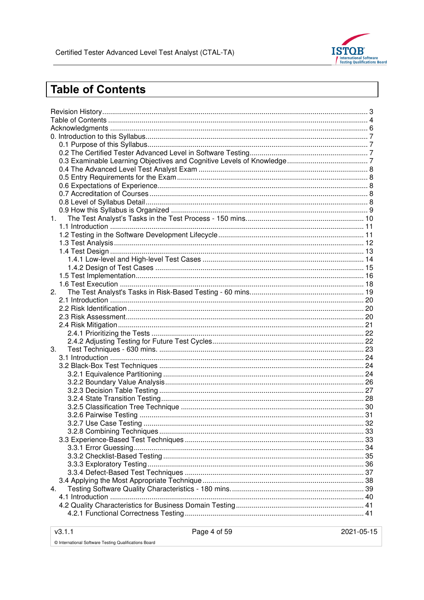

# **Table of Contents**

| 1. |  |
|----|--|
|    |  |
|    |  |
|    |  |
|    |  |
|    |  |
|    |  |
|    |  |
|    |  |
| 2. |  |
|    |  |
|    |  |
|    |  |
|    |  |
|    |  |
|    |  |
| 3. |  |
|    |  |
|    |  |
|    |  |
|    |  |
|    |  |
|    |  |
|    |  |
|    |  |
|    |  |
|    |  |
|    |  |
|    |  |
|    |  |
|    |  |
|    |  |
|    |  |
| 4. |  |
|    |  |
|    |  |
|    |  |
|    |  |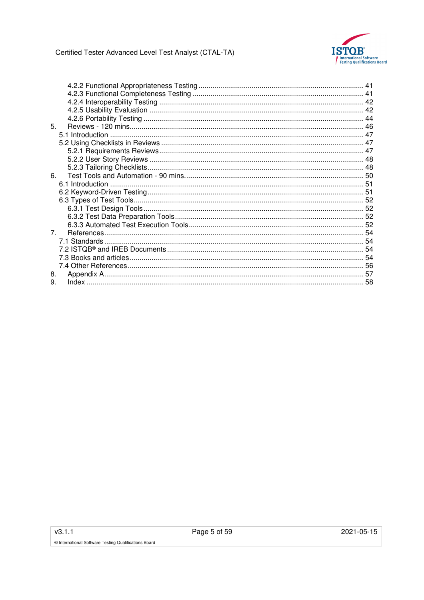

| 5.          |  |
|-------------|--|
|             |  |
|             |  |
|             |  |
|             |  |
|             |  |
| 6.          |  |
|             |  |
|             |  |
|             |  |
|             |  |
|             |  |
|             |  |
| $7^{\circ}$ |  |
|             |  |
|             |  |
|             |  |
|             |  |
| 8.          |  |
| 9.          |  |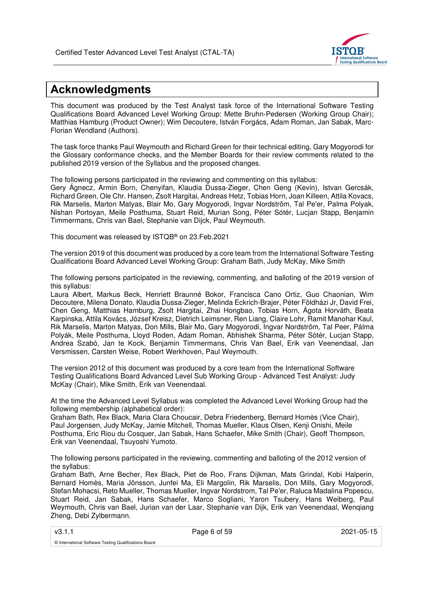

# **Acknowledgments**

This document was produced by the Test Analyst task force of the International Software Testing Qualifications Board Advanced Level Working Group: Mette Bruhn-Pedersen (Working Group Chair); Matthias Hamburg (Product Owner); Wim Decoutere, István Forgács, Adam Roman, Jan Sabak, Marc-Florian Wendland (Authors).

The task force thanks Paul Weymouth and Richard Green for their technical editing, Gary Mogyorodi for the Glossary conformance checks, and the Member Boards for their review comments related to the published 2019 version of the Syllabus and the proposed changes.

The following persons participated in the reviewing and commenting on this syllabus:

Gery Ágnecz, Armin Born, Chenyifan, Klaudia Dussa-Zieger, Chen Geng (Kevin), Istvan Gercsák, Richard Green, Ole Chr. Hansen, Zsolt Hargitai, Andreas Hetz, Tobias Horn, Joan Killeen, Attila Kovacs, Rik Marselis, Marton Matyas, Blair Mo, Gary Mogyorodi, Ingvar Nordström, Tal Pe'er, Palma Polyak, Nishan Portoyan, Meile Posthuma, Stuart Reid, Murian Song, Péter Sótér, Lucjan Stapp, Benjamin Timmermans, Chris van Bael, Stephanie van Dijck, Paul Weymouth.

This document was released by ISTQB® on 23.Feb.2021

The version 2019 of this document was produced by a core team from the International Software Testing Qualifications Board Advanced Level Working Group: Graham Bath, Judy McKay, Mike Smith

The following persons participated in the reviewing, commenting, and balloting of the 2019 version of this syllabus:

Laura Albert, Markus Beck, Henriett Braunné Bokor, Francisca Cano Ortiz, Guo Chaonian, Wim Decoutere, Milena Donato, Klaudia Dussa-Zieger, Melinda Eckrich-Brajer, Péter Földházi Jr, David Frei, Chen Geng, Matthias Hamburg, Zsolt Hargitai, Zhai Hongbao, Tobias Horn, Ágota Horváth, Beata Karpinska, Attila Kovács, József Kreisz, Dietrich Leimsner, Ren Liang, Claire Lohr, Ramit Manohar Kaul, Rik Marselis, Marton Matyas, Don Mills, Blair Mo, Gary Mogyorodi, Ingvar Nordström, Tal Peer, Pálma Polyák, Meile Posthuma, Lloyd Roden, Adam Roman, Abhishek Sharma, Péter Sótér, Lucjan Stapp, Andrea Szabó, Jan te Kock, Benjamin Timmermans, Chris Van Bael, Erik van Veenendaal, Jan Versmissen, Carsten Weise, Robert Werkhoven, Paul Weymouth.

The version 2012 of this document was produced by a core team from the International Software Testing Qualifications Board Advanced Level Sub Working Group - Advanced Test Analyst: Judy McKay (Chair), Mike Smith, Erik van Veenendaal.

At the time the Advanced Level Syllabus was completed the Advanced Level Working Group had the following membership (alphabetical order):

Graham Bath, Rex Black, Maria Clara Choucair, Debra Friedenberg, Bernard Homès (Vice Chair), Paul Jorgensen, Judy McKay, Jamie Mitchell, Thomas Mueller, Klaus Olsen, Kenji Onishi, Meile Posthuma, Eric Riou du Cosquer, Jan Sabak, Hans Schaefer, Mike Smith (Chair), Geoff Thompson, Erik van Veenendaal, Tsuyoshi Yumoto.

The following persons participated in the reviewing, commenting and balloting of the 2012 version of the syllabus:

Graham Bath, Arne Becher, Rex Black, Piet de Roo, Frans Dijkman, Mats Grindal, Kobi Halperin, Bernard Homès, Maria Jönsson, Junfei Ma, Eli Margolin, Rik Marselis, Don Mills, Gary Mogyorodi, Stefan Mohacsi, Reto Mueller, Thomas Mueller, Ingvar Nordstrom, Tal Pe'er, Raluca Madalina Popescu, Stuart Reid, Jan Sabak, Hans Schaefer, Marco Sogliani, Yaron Tsubery, Hans Weiberg, Paul Weymouth, Chris van Bael, Jurian van der Laar, Stephanie van Dijk, Erik van Veenendaal, Wenqiang Zheng, Debi Zylbermann.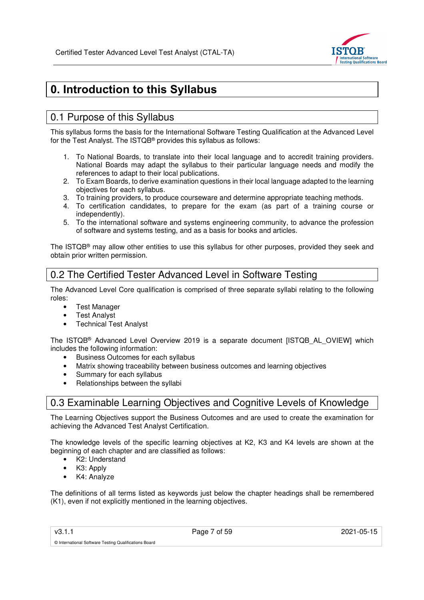

# **0. Introduction to this Syllabus**

# 0.1 Purpose of this Syllabus

This syllabus forms the basis for the International Software Testing Qualification at the Advanced Level for the Test Analyst. The ISTQB® provides this syllabus as follows:

- 1. To National Boards, to translate into their local language and to accredit training providers. National Boards may adapt the syllabus to their particular language needs and modify the references to adapt to their local publications.
- 2. To Exam Boards, to derive examination questions in their local language adapted to the learning objectives for each syllabus.
- 3. To training providers, to produce courseware and determine appropriate teaching methods.
- 4. To certification candidates, to prepare for the exam (as part of a training course or independently).
- 5. To the international software and systems engineering community, to advance the profession of software and systems testing, and as a basis for books and articles.

The ISTQB® may allow other entities to use this syllabus for other purposes, provided they seek and obtain prior written permission.

## 0.2 The Certified Tester Advanced Level in Software Testing

The Advanced Level Core qualification is comprised of three separate syllabi relating to the following roles:

- Test Manager
- Test Analyst
- **Technical Test Analyst**

The ISTQB® Advanced Level Overview 2019 is a separate document [ISTQB\_AL\_OVIEW] which includes the following information:

- Business Outcomes for each syllabus
- Matrix showing traceability between business outcomes and learning objectives
- Summary for each syllabus
- Relationships between the syllabi

# 0.3 Examinable Learning Objectives and Cognitive Levels of Knowledge

The Learning Objectives support the Business Outcomes and are used to create the examination for achieving the Advanced Test Analyst Certification.

The knowledge levels of the specific learning objectives at K2, K3 and K4 levels are shown at the beginning of each chapter and are classified as follows:

• K2: Understand

© International Software Testing Qualifications Board

- K3: Apply
- K4: Analyze

The definitions of all terms listed as keywords just below the chapter headings shall be remembered (K1), even if not explicitly mentioned in the learning objectives.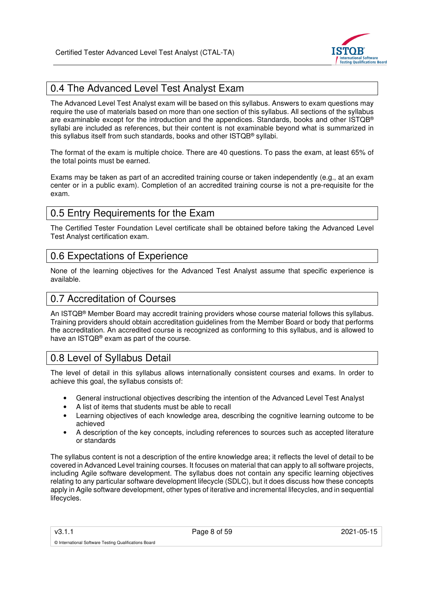

# 0.4 The Advanced Level Test Analyst Exam

The Advanced Level Test Analyst exam will be based on this syllabus. Answers to exam questions may require the use of materials based on more than one section of this syllabus. All sections of the syllabus are examinable except for the introduction and the appendices. Standards, books and other ISTQB® syllabi are included as references, but their content is not examinable beyond what is summarized in this syllabus itself from such standards, books and other ISTQB® syllabi.

The format of the exam is multiple choice. There are 40 questions. To pass the exam, at least 65% of the total points must be earned.

Exams may be taken as part of an accredited training course or taken independently (e.g., at an exam center or in a public exam). Completion of an accredited training course is not a pre-requisite for the exam.

## 0.5 Entry Requirements for the Exam

The Certified Tester Foundation Level certificate shall be obtained before taking the Advanced Level Test Analyst certification exam.

## 0.6 Expectations of Experience

None of the learning objectives for the Advanced Test Analyst assume that specific experience is available.

## 0.7 Accreditation of Courses

An ISTQB® Member Board may accredit training providers whose course material follows this syllabus. Training providers should obtain accreditation guidelines from the Member Board or body that performs the accreditation. An accredited course is recognized as conforming to this syllabus, and is allowed to have an ISTQB® exam as part of the course.

## 0.8 Level of Syllabus Detail

The level of detail in this syllabus allows internationally consistent courses and exams. In order to achieve this goal, the syllabus consists of:

- General instructional objectives describing the intention of the Advanced Level Test Analyst
- A list of items that students must be able to recall
- Learning objectives of each knowledge area, describing the cognitive learning outcome to be achieved
- A description of the key concepts, including references to sources such as accepted literature or standards

The syllabus content is not a description of the entire knowledge area; it reflects the level of detail to be covered in Advanced Level training courses. It focuses on material that can apply to all software projects, including Agile software development. The syllabus does not contain any specific learning objectives relating to any particular software development lifecycle (SDLC), but it does discuss how these concepts apply in Agile software development, other types of iterative and incremental lifecycles, and in sequential lifecycles.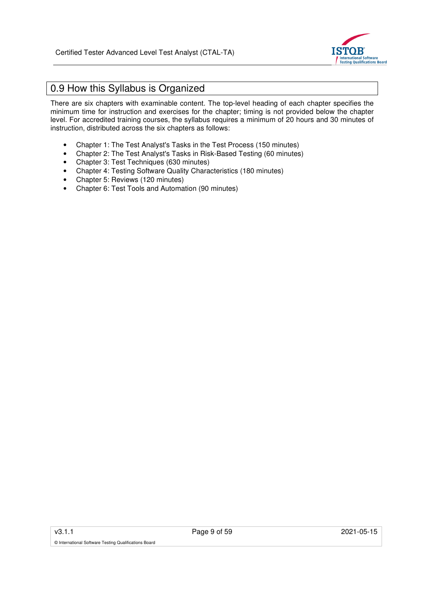

# 0.9 How this Syllabus is Organized

There are six chapters with examinable content. The top-level heading of each chapter specifies the minimum time for instruction and exercises for the chapter; timing is not provided below the chapter level. For accredited training courses, the syllabus requires a minimum of 20 hours and 30 minutes of instruction, distributed across the six chapters as follows:

- Chapter 1: The Test Analyst's Tasks in the Test Process (150 minutes)
- Chapter 2: The Test Analyst's Tasks in Risk-Based Testing (60 minutes)
- Chapter 3: Test Techniques (630 minutes)
- Chapter 4: Testing Software Quality Characteristics (180 minutes)
- Chapter 5: Reviews (120 minutes)
- Chapter 6: Test Tools and Automation (90 minutes)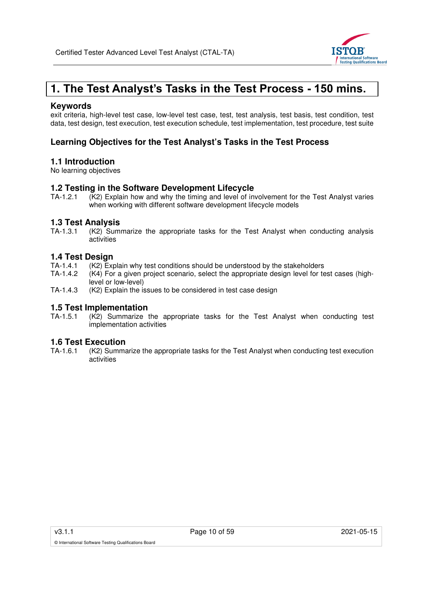

# **1. The Test Analyst's Tasks in the Test Process - 150 mins.**

### **Keywords**

exit criteria, high-level test case, low-level test case, test, test analysis, test basis, test condition, test data, test design, test execution, test execution schedule, test implementation, test procedure, test suite

## **Learning Objectives for the Test Analyst's Tasks in the Test Process**

### **1.1 Introduction**

No learning objectives

# **1.2 Testing in the Software Development Lifecycle**<br>TA-1.2.1 (K2) Explain how and why the timing and level of in

 $(K2)$  Explain how and why the timing and level of involvement for the Test Analyst varies when working with different software development lifecycle models

### **1.3 Test Analysis**

TA-1.3.1 (K2) Summarize the appropriate tasks for the Test Analyst when conducting analysis activities

## **1.4 Test Design**

- TA-1.4.1 (K2) Explain why test conditions should be understood by the stakeholders
- TA-1.4.2 (K4) For a given project scenario, select the appropriate design level for test cases (highlevel or low-level)
- TA-1.4.3 (K2) Explain the issues to be considered in test case design

# **1.5 Test Implementation**<br>TA-1.5.1 (K2) Summarize

 $K<sub>2</sub>$ . Summarize the appropriate tasks for the Test Analyst when conducting test implementation activities

# **1.6 Test Execution**

(K2) Summarize the appropriate tasks for the Test Analyst when conducting test execution activities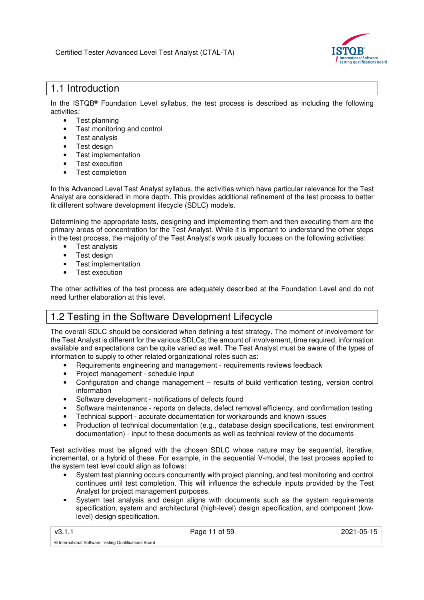

## 1.1 Introduction

In the ISTQB® Foundation Level syllabus, the test process is described as including the following activities:

- Test planning
- Test monitoring and control
- Test analysis
- Test design
- Test implementation
- Test execution
- Test completion

In this Advanced Level Test Analyst syllabus, the activities which have particular relevance for the Test Analyst are considered in more depth. This provides additional refinement of the test process to better fit different software development lifecycle (SDLC) models.

Determining the appropriate tests, designing and implementing them and then executing them are the primary areas of concentration for the Test Analyst. While it is important to understand the other steps in the test process, the majority of the Test Analyst's work usually focuses on the following activities:

- Test analysis
- Test design
- Test implementation
- Test execution

The other activities of the test process are adequately described at the Foundation Level and do not need further elaboration at this level.

# 1.2 Testing in the Software Development Lifecycle

The overall SDLC should be considered when defining a test strategy. The moment of involvement for the Test Analyst is different for the various SDLCs; the amount of involvement, time required, information available and expectations can be quite varied as well. The Test Analyst must be aware of the types of information to supply to other related organizational roles such as:

- Requirements engineering and management requirements reviews feedback
- Project management schedule input
- Configuration and change management results of build verification testing, version control information
- Software development notifications of defects found
- Software maintenance reports on defects, defect removal efficiency, and confirmation testing
- Technical support accurate documentation for workarounds and known issues
- Production of technical documentation (e.g., database design specifications, test environment documentation) - input to these documents as well as technical review of the documents

Test activities must be aligned with the chosen SDLC whose nature may be sequential, iterative, incremental, or a hybrid of these. For example, in the sequential V-model, the test process applied to the system test level could align as follows:

- System test planning occurs concurrently with project planning, and test monitoring and control continues until test completion. This will influence the schedule inputs provided by the Test Analyst for project management purposes.
- System test analysis and design aligns with documents such as the system requirements specification, system and architectural (high-level) design specification, and component (lowlevel) design specification.

v3.1.1 **Page 11 of 59** 2021-05-15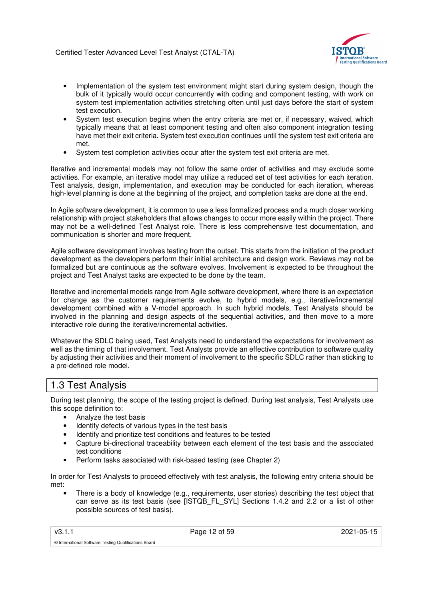

- Implementation of the system test environment might start during system design, though the bulk of it typically would occur concurrently with coding and component testing, with work on system test implementation activities stretching often until just days before the start of system test execution.
- System test execution begins when the entry criteria are met or, if necessary, waived, which typically means that at least component testing and often also component integration testing have met their exit criteria. System test execution continues until the system test exit criteria are met.
- System test completion activities occur after the system test exit criteria are met.

Iterative and incremental models may not follow the same order of activities and may exclude some activities. For example, an iterative model may utilize a reduced set of test activities for each iteration. Test analysis, design, implementation, and execution may be conducted for each iteration, whereas high-level planning is done at the beginning of the project, and completion tasks are done at the end.

In Agile software development, it is common to use a less formalized process and a much closer working relationship with project stakeholders that allows changes to occur more easily within the project. There may not be a well-defined Test Analyst role. There is less comprehensive test documentation, and communication is shorter and more frequent.

Agile software development involves testing from the outset. This starts from the initiation of the product development as the developers perform their initial architecture and design work. Reviews may not be formalized but are continuous as the software evolves. Involvement is expected to be throughout the project and Test Analyst tasks are expected to be done by the team.

Iterative and incremental models range from Agile software development, where there is an expectation for change as the customer requirements evolve, to hybrid models, e.g., iterative/incremental development combined with a V-model approach. In such hybrid models, Test Analysts should be involved in the planning and design aspects of the sequential activities, and then move to a more interactive role during the iterative/incremental activities.

Whatever the SDLC being used, Test Analysts need to understand the expectations for involvement as well as the timing of that involvement. Test Analysts provide an effective contribution to software quality by adjusting their activities and their moment of involvement to the specific SDLC rather than sticking to a pre-defined role model.

## 1.3 Test Analysis

During test planning, the scope of the testing project is defined. During test analysis, Test Analysts use this scope definition to:

- Analyze the test basis
- Identify defects of various types in the test basis
- Identify and prioritize test conditions and features to be tested
- Capture bi-directional traceability between each element of the test basis and the associated test conditions
- Perform tasks associated with risk-based testing (see Chapter 2)

In order for Test Analysts to proceed effectively with test analysis, the following entry criteria should be met:

• There is a body of knowledge (e.g., requirements, user stories) describing the test object that can serve as its test basis (see [ISTQB\_FL\_SYL] Sections 1.4.2 and 2.2 or a list of other possible sources of test basis).

v3.1.1 Page 12 of 59 2021-05-15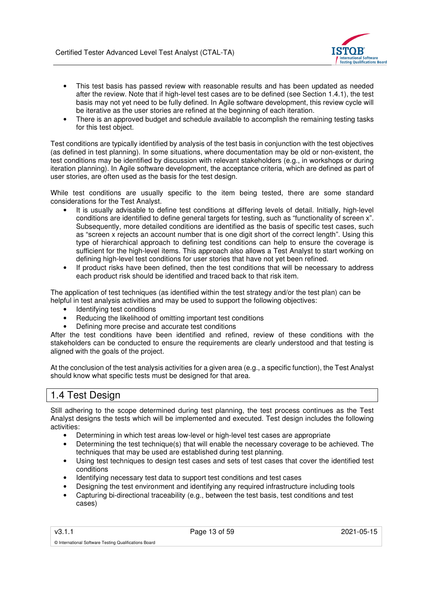

- This test basis has passed review with reasonable results and has been updated as needed after the review. Note that if high-level test cases are to be defined (see Section 1.4.1), the test basis may not yet need to be fully defined. In Agile software development, this review cycle will be iterative as the user stories are refined at the beginning of each iteration.
- There is an approved budget and schedule available to accomplish the remaining testing tasks for this test object.

Test conditions are typically identified by analysis of the test basis in conjunction with the test objectives (as defined in test planning). In some situations, where documentation may be old or non-existent, the test conditions may be identified by discussion with relevant stakeholders (e.g., in workshops or during iteration planning). In Agile software development, the acceptance criteria, which are defined as part of user stories, are often used as the basis for the test design.

While test conditions are usually specific to the item being tested, there are some standard considerations for the Test Analyst.

- It is usually advisable to define test conditions at differing levels of detail. Initially, high-level conditions are identified to define general targets for testing, such as "functionality of screen x". Subsequently, more detailed conditions are identified as the basis of specific test cases, such as "screen x rejects an account number that is one digit short of the correct length". Using this type of hierarchical approach to defining test conditions can help to ensure the coverage is sufficient for the high-level items. This approach also allows a Test Analyst to start working on defining high-level test conditions for user stories that have not yet been refined.
- If product risks have been defined, then the test conditions that will be necessary to address each product risk should be identified and traced back to that risk item.

The application of test techniques (as identified within the test strategy and/or the test plan) can be helpful in test analysis activities and may be used to support the following objectives:

- Identifying test conditions
- Reducing the likelihood of omitting important test conditions
- Defining more precise and accurate test conditions

After the test conditions have been identified and refined, review of these conditions with the stakeholders can be conducted to ensure the requirements are clearly understood and that testing is aligned with the goals of the project.

At the conclusion of the test analysis activities for a given area (e.g., a specific function), the Test Analyst should know what specific tests must be designed for that area.

## 1.4 Test Design

Still adhering to the scope determined during test planning, the test process continues as the Test Analyst designs the tests which will be implemented and executed. Test design includes the following activities:

- Determining in which test areas low-level or high-level test cases are appropriate
- Determining the test technique(s) that will enable the necessary coverage to be achieved. The techniques that may be used are established during test planning.
- Using test techniques to design test cases and sets of test cases that cover the identified test conditions
- Identifying necessary test data to support test conditions and test cases
- Designing the test environment and identifying any required infrastructure including tools
- Capturing bi-directional traceability (e.g., between the test basis, test conditions and test cases)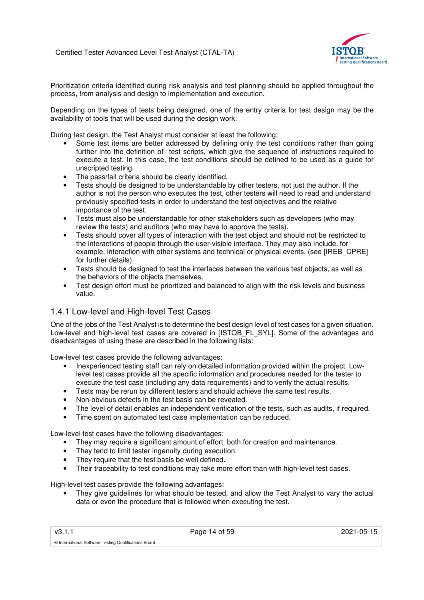

Prioritization criteria identified during risk analysis and test planning should be applied throughout the process, from analysis and design to implementation and execution.

Depending on the types of tests being designed, one of the entry criteria for test design may be the availability of tools that will be used during the design work.

During test design, the Test Analyst must consider at least the following:

- Some test items are better addressed by defining only the test conditions rather than going further into the definition of test scripts, which give the sequence of instructions required to execute a test. In this case, the test conditions should be defined to be used as a guide for unscripted testing.
- The pass/fail criteria should be clearly identified.
- Tests should be designed to be understandable by other testers, not just the author. If the author is not the person who executes the test, other testers will need to read and understand previously specified tests in order to understand the test objectives and the relative importance of the test.
- Tests must also be understandable for other stakeholders such as developers (who may review the tests) and auditors (who may have to approve the tests).
- Tests should cover all types of interaction with the test object and should not be restricted to the interactions of people through the user-visible interface. They may also include, for example, interaction with other systems and technical or physical events. (see [IREB\_CPRE] for further details).
- Tests should be designed to test the interfaces between the various test objects, as well as the behaviors of the objects themselves.
- Test design effort must be prioritized and balanced to align with the risk levels and business value.

## 1.4.1 Low-level and High-level Test Cases

One of the jobs of the Test Analyst is to determine the best design level of test cases for a given situation. Low-level and high-level test cases are covered in [ISTQB\_FL\_SYL]. Some of the advantages and disadvantages of using these are described in the following lists:

Low-level test cases provide the following advantages:

- Inexperienced testing staff can rely on detailed information provided within the project. Lowlevel test cases provide all the specific information and procedures needed for the tester to execute the test case (including any data requirements) and to verify the actual results.
- Tests may be rerun by different testers and should achieve the same test results.
- Non-obvious defects in the test basis can be revealed.
- The level of detail enables an independent verification of the tests, such as audits, if required.
- Time spent on automated test case implementation can be reduced.

Low-level test cases have the following disadvantages:

- They may require a significant amount of effort, both for creation and maintenance.
- They tend to limit tester ingenuity during execution.
- They require that the test basis be well defined.
- Their traceability to test conditions may take more effort than with high-level test cases.

High-level test cases provide the following advantages:

They give guidelines for what should be tested, and allow the Test Analyst to vary the actual data or even the procedure that is followed when executing the test.

v3.1.1 Page 14 of 59 2021-05-15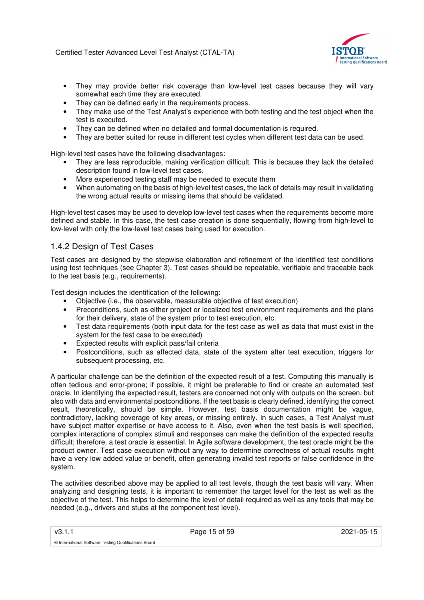

- They may provide better risk coverage than low-level test cases because they will vary somewhat each time they are executed.
- They can be defined early in the requirements process.
- They make use of the Test Analyst's experience with both testing and the test object when the test is executed.
- They can be defined when no detailed and formal documentation is required.
- They are better suited for reuse in different test cycles when different test data can be used.

High-level test cases have the following disadvantages:

- They are less reproducible, making verification difficult. This is because they lack the detailed description found in low-level test cases.
- More experienced testing staff may be needed to execute them
- When automating on the basis of high-level test cases, the lack of details may result in validating the wrong actual results or missing items that should be validated.

High-level test cases may be used to develop low-level test cases when the requirements become more defined and stable. In this case, the test case creation is done sequentially, flowing from high-level to low-level with only the low-level test cases being used for execution.

## 1.4.2 Design of Test Cases

Test cases are designed by the stepwise elaboration and refinement of the identified test conditions using test techniques (see Chapter 3). Test cases should be repeatable, verifiable and traceable back to the test basis (e.g., requirements).

Test design includes the identification of the following:

- Objective (i.e., the observable, measurable objective of test execution)
- Preconditions, such as either project or localized test environment requirements and the plans for their delivery, state of the system prior to test execution, etc.
- Test data requirements (both input data for the test case as well as data that must exist in the system for the test case to be executed)
- Expected results with explicit pass/fail criteria
- Postconditions, such as affected data, state of the system after test execution, triggers for subsequent processing, etc.

A particular challenge can be the definition of the expected result of a test. Computing this manually is often tedious and error-prone; if possible, it might be preferable to find or create an automated test oracle. In identifying the expected result, testers are concerned not only with outputs on the screen, but also with data and environmental postconditions. If the test basis is clearly defined, identifying the correct result, theoretically, should be simple. However, test basis documentation might be vague, contradictory, lacking coverage of key areas, or missing entirely. In such cases, a Test Analyst must have subject matter expertise or have access to it. Also, even when the test basis is well specified, complex interactions of complex stimuli and responses can make the definition of the expected results difficult; therefore, a test oracle is essential. In Agile software development, the test oracle might be the product owner. Test case execution without any way to determine correctness of actual results might have a very low added value or benefit, often generating invalid test reports or false confidence in the system.

The activities described above may be applied to all test levels, though the test basis will vary. When analyzing and designing tests, it is important to remember the target level for the test as well as the objective of the test. This helps to determine the level of detail required as well as any tools that may be needed (e.g., drivers and stubs at the component test level).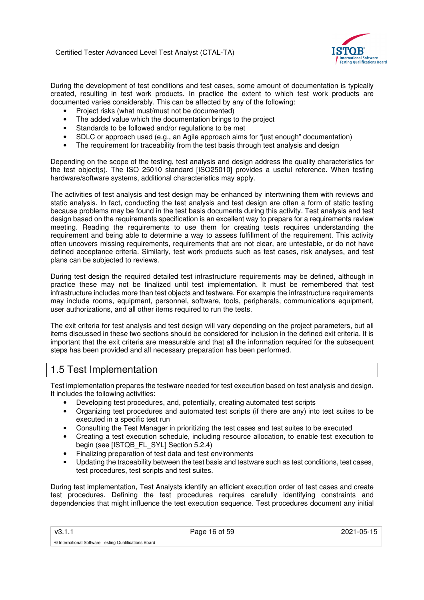

During the development of test conditions and test cases, some amount of documentation is typically created, resulting in test work products. In practice the extent to which test work products are documented varies considerably. This can be affected by any of the following:

- Project risks (what must/must not be documented)
- The added value which the documentation brings to the project
- Standards to be followed and/or regulations to be met
- SDLC or approach used (e.g., an Agile approach aims for "just enough" documentation)
- The requirement for traceability from the test basis through test analysis and design

Depending on the scope of the testing, test analysis and design address the quality characteristics for the test object(s). The ISO 25010 standard [ISO25010] provides a useful reference. When testing hardware/software systems, additional characteristics may apply.

The activities of test analysis and test design may be enhanced by intertwining them with reviews and static analysis. In fact, conducting the test analysis and test design are often a form of static testing because problems may be found in the test basis documents during this activity. Test analysis and test design based on the requirements specification is an excellent way to prepare for a requirements review meeting. Reading the requirements to use them for creating tests requires understanding the requirement and being able to determine a way to assess fulfillment of the requirement. This activity often uncovers missing requirements, requirements that are not clear, are untestable, or do not have defined acceptance criteria. Similarly, test work products such as test cases, risk analyses, and test plans can be subjected to reviews.

During test design the required detailed test infrastructure requirements may be defined, although in practice these may not be finalized until test implementation. It must be remembered that test infrastructure includes more than test objects and testware. For example the infrastructure requirements may include rooms, equipment, personnel, software, tools, peripherals, communications equipment, user authorizations, and all other items required to run the tests.

The exit criteria for test analysis and test design will vary depending on the project parameters, but all items discussed in these two sections should be considered for inclusion in the defined exit criteria. It is important that the exit criteria are measurable and that all the information required for the subsequent steps has been provided and all necessary preparation has been performed.

# 1.5 Test Implementation

© International Software Testing Qualifications Board

Test implementation prepares the testware needed for test execution based on test analysis and design. It includes the following activities:

- Developing test procedures, and, potentially, creating automated test scripts
- Organizing test procedures and automated test scripts (if there are any) into test suites to be executed in a specific test run
- Consulting the Test Manager in prioritizing the test cases and test suites to be executed
- Creating a test execution schedule, including resource allocation, to enable test execution to begin (see [ISTQB\_FL\_SYL] Section 5.2.4)
- Finalizing preparation of test data and test environments
- Updating the traceability between the test basis and testware such as test conditions, test cases, test procedures, test scripts and test suites.

During test implementation, Test Analysts identify an efficient execution order of test cases and create test procedures. Defining the test procedures requires carefully identifying constraints and dependencies that might influence the test execution sequence. Test procedures document any initial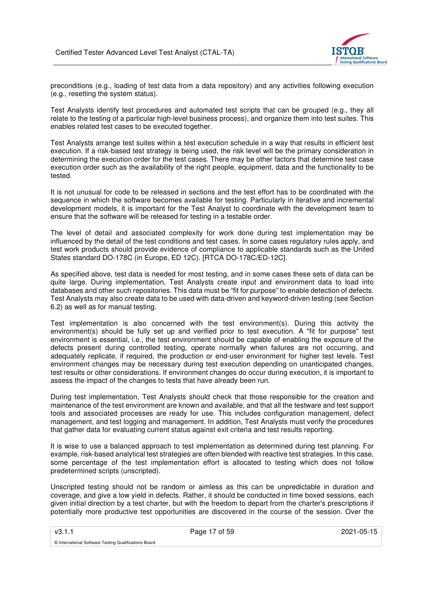

preconditions (e.g., loading of test data from a data repository) and any activities following execution (e.g., resetting the system status).

Test Analysts identify test procedures and automated test scripts that can be grouped (e.g., they all relate to the testing of a particular high-level business process), and organize them into test suites. This enables related test cases to be executed together.

Test Analysts arrange test suites within a test execution schedule in a way that results in efficient test execution. If a risk-based test strategy is being used, the risk level will be the primary consideration in determining the execution order for the test cases. There may be other factors that determine test case execution order such as the availability of the right people, equipment, data and the functionality to be tested.

It is not unusual for code to be released in sections and the test effort has to be coordinated with the sequence in which the software becomes available for testing. Particularly in iterative and incremental development models, it is important for the Test Analyst to coordinate with the development team to ensure that the software will be released for testing in a testable order.

The level of detail and associated complexity for work done during test implementation may be influenced by the detail of the test conditions and test cases. In some cases regulatory rules apply, and test work products should provide evidence of compliance to applicable standards such as the United States standard DO-178C (in Europe, ED 12C). [RTCA DO-178C/ED-12C].

As specified above, test data is needed for most testing, and in some cases these sets of data can be quite large. During implementation, Test Analysts create input and environment data to load into databases and other such repositories. This data must be "fit for purpose" to enable detection of defects. Test Analysts may also create data to be used with data-driven and keyword-driven testing (see Section 6.2) as well as for manual testing.

Test implementation is also concerned with the test environment(s). During this activity the environment(s) should be fully set up and verified prior to test execution. A "fit for purpose" test environment is essential, i.e., the test environment should be capable of enabling the exposure of the defects present during controlled testing, operate normally when failures are not occurring, and adequately replicate, if required, the production or end-user environment for higher test levels. Test environment changes may be necessary during test execution depending on unanticipated changes, test results or other considerations. If environment changes do occur during execution, it is important to assess the impact of the changes to tests that have already been run.

During test implementation, Test Analysts should check that those responsible for the creation and maintenance of the test environment are known and available, and that all the testware and test support tools and associated processes are ready for use. This includes configuration management, defect management, and test logging and management. In addition, Test Analysts must verify the procedures that gather data for evaluating current status against exit criteria and test results reporting.

It is wise to use a balanced approach to test implementation as determined during test planning. For example, risk-based analytical test strategies are often blended with reactive test strategies. In this case, some percentage of the test implementation effort is allocated to testing which does not follow predetermined scripts (unscripted).

Unscripted testing should not be random or aimless as this can be unpredictable in duration and coverage, and give a low yield in defects. Rather, it should be conducted in time boxed sessions, each given initial direction by a test charter, but with the freedom to depart from the charter's prescriptions if potentially more productive test opportunities are discovered in the course of the session. Over the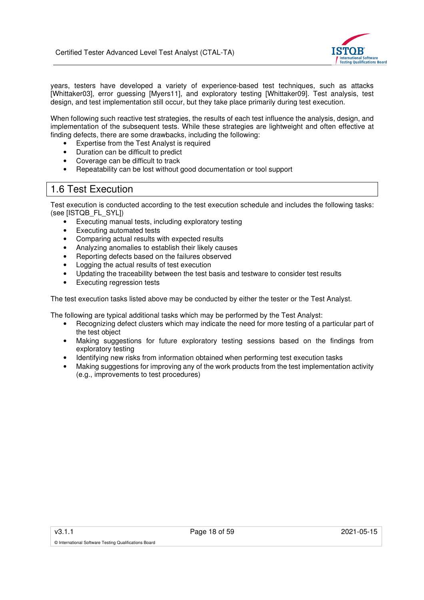

years, testers have developed a variety of experience-based test techniques, such as attacks [Whittaker03], error guessing [Myers11], and exploratory testing [Whittaker09]. Test analysis, test design, and test implementation still occur, but they take place primarily during test execution.

When following such reactive test strategies, the results of each test influence the analysis, design, and implementation of the subsequent tests. While these strategies are lightweight and often effective at finding defects, there are some drawbacks, including the following:

- Expertise from the Test Analyst is required
- Duration can be difficult to predict
- Coverage can be difficult to track
- Repeatability can be lost without good documentation or tool support

## 1.6 Test Execution

Test execution is conducted according to the test execution schedule and includes the following tasks: (see [ISTQB\_FL\_SYL])

- Executing manual tests, including exploratory testing
- Executing automated tests
- Comparing actual results with expected results
- Analyzing anomalies to establish their likely causes
- Reporting defects based on the failures observed
- Logging the actual results of test execution
- Updating the traceability between the test basis and testware to consider test results
- Executing regression tests

The test execution tasks listed above may be conducted by either the tester or the Test Analyst.

The following are typical additional tasks which may be performed by the Test Analyst:

- Recognizing defect clusters which may indicate the need for more testing of a particular part of the test object
- Making suggestions for future exploratory testing sessions based on the findings from exploratory testing
- Identifying new risks from information obtained when performing test execution tasks
- Making suggestions for improving any of the work products from the test implementation activity (e.g., improvements to test procedures)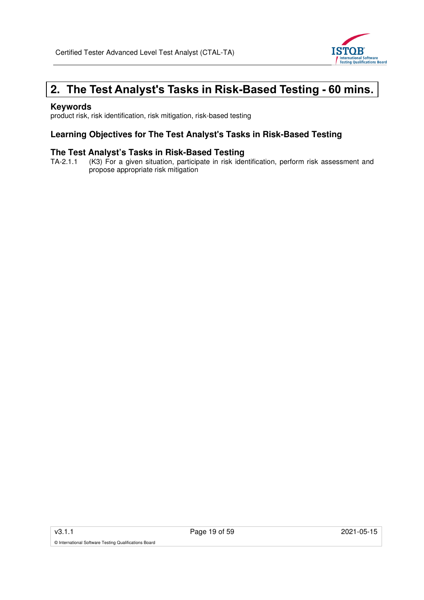

# **2. The Test Analyst's Tasks in Risk-Based Testing - 60 mins.**

## **Keywords**

product risk, risk identification, risk mitigation, risk-based testing

## **Learning Objectives for The Test Analyst's Tasks in Risk-Based Testing**

# **The Test Analyst's Tasks in Risk-Based Testing**<br>TA-2.1.1 (K3) For a given situation, participate in risk ider

(K3) For a given situation, participate in risk identification, perform risk assessment and propose appropriate risk mitigation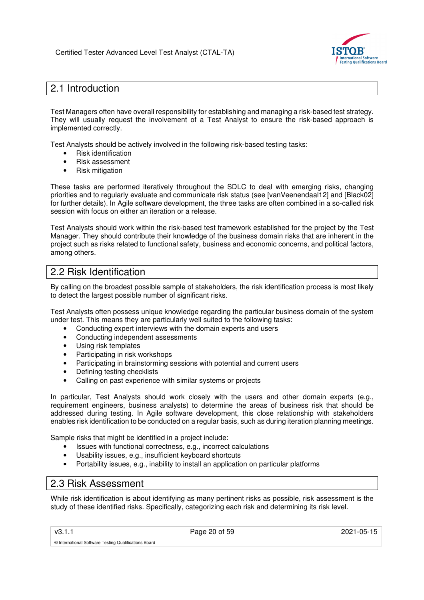

# 2.1 Introduction

Test Managers often have overall responsibility for establishing and managing a risk-based test strategy. They will usually request the involvement of a Test Analyst to ensure the risk-based approach is implemented correctly.

Test Analysts should be actively involved in the following risk-based testing tasks:

- Risk identification
- Risk assessment
- Risk mitigation

These tasks are performed iteratively throughout the SDLC to deal with emerging risks, changing priorities and to regularly evaluate and communicate risk status (see [vanVeenendaal12] and [Black02] for further details). In Agile software development, the three tasks are often combined in a so-called risk session with focus on either an iteration or a release.

Test Analysts should work within the risk-based test framework established for the project by the Test Manager. They should contribute their knowledge of the business domain risks that are inherent in the project such as risks related to functional safety, business and economic concerns, and political factors, among others.

## 2.2 Risk Identification

By calling on the broadest possible sample of stakeholders, the risk identification process is most likely to detect the largest possible number of significant risks.

Test Analysts often possess unique knowledge regarding the particular business domain of the system under test. This means they are particularly well suited to the following tasks:

- Conducting expert interviews with the domain experts and users
- Conducting independent assessments
- Using risk templates
- Participating in risk workshops
- Participating in brainstorming sessions with potential and current users
- Defining testing checklists
- Calling on past experience with similar systems or projects

In particular, Test Analysts should work closely with the users and other domain experts (e.g., requirement engineers, business analysts) to determine the areas of business risk that should be addressed during testing. In Agile software development, this close relationship with stakeholders enables risk identification to be conducted on a regular basis, such as during iteration planning meetings.

Sample risks that might be identified in a project include:

- Issues with functional correctness, e.g., incorrect calculations
- Usability issues, e.g., insufficient keyboard shortcuts
- Portability issues, e.g., inability to install an application on particular platforms

## 2.3 Risk Assessment

While risk identification is about identifying as many pertinent risks as possible, risk assessment is the study of these identified risks. Specifically, categorizing each risk and determining its risk level.

v3.1.1 **Page 20 of 59 2021-05-15** 2021-05-15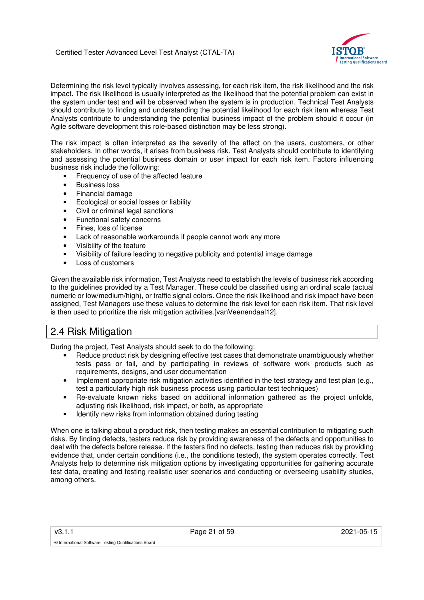

Determining the risk level typically involves assessing, for each risk item, the risk likelihood and the risk impact. The risk likelihood is usually interpreted as the likelihood that the potential problem can exist in the system under test and will be observed when the system is in production. Technical Test Analysts should contribute to finding and understanding the potential likelihood for each risk item whereas Test Analysts contribute to understanding the potential business impact of the problem should it occur (in Agile software development this role-based distinction may be less strong).

The risk impact is often interpreted as the severity of the effect on the users, customers, or other stakeholders. In other words, it arises from business risk. Test Analysts should contribute to identifying and assessing the potential business domain or user impact for each risk item. Factors influencing business risk include the following:

- Frequency of use of the affected feature
- Business loss
- Financial damage
- Ecological or social losses or liability
- Civil or criminal legal sanctions
- Functional safety concerns
- Fines, loss of license
- Lack of reasonable workarounds if people cannot work any more
- Visibility of the feature
- Visibility of failure leading to negative publicity and potential image damage
- Loss of customers

Given the available risk information, Test Analysts need to establish the levels of business risk according to the guidelines provided by a Test Manager. These could be classified using an ordinal scale (actual numeric or low/medium/high), or traffic signal colors. Once the risk likelihood and risk impact have been assigned, Test Managers use these values to determine the risk level for each risk item. That risk level is then used to prioritize the risk mitigation activities.[vanVeenendaal12].

## 2.4 Risk Mitigation

During the project, Test Analysts should seek to do the following:

- Reduce product risk by designing effective test cases that demonstrate unambiguously whether tests pass or fail, and by participating in reviews of software work products such as requirements, designs, and user documentation
- Implement appropriate risk mitigation activities identified in the test strategy and test plan (e.g., test a particularly high risk business process using particular test techniques)
- Re-evaluate known risks based on additional information gathered as the project unfolds, adjusting risk likelihood, risk impact, or both, as appropriate
- Identify new risks from information obtained during testing

When one is talking about a product risk, then testing makes an essential contribution to mitigating such risks. By finding defects, testers reduce risk by providing awareness of the defects and opportunities to deal with the defects before release. If the testers find no defects, testing then reduces risk by providing evidence that, under certain conditions (i.e., the conditions tested), the system operates correctly. Test Analysts help to determine risk mitigation options by investigating opportunities for gathering accurate test data, creating and testing realistic user scenarios and conducting or overseeing usability studies, among others.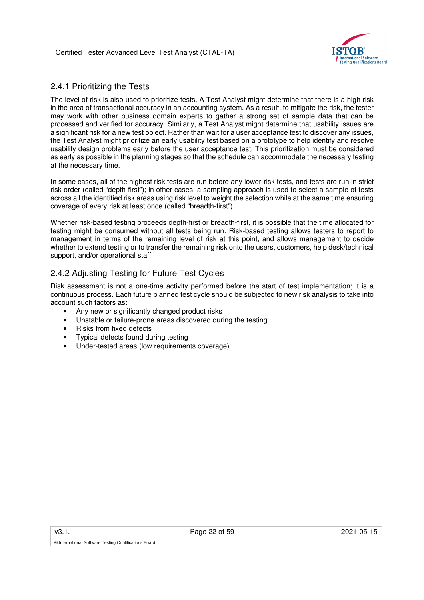

## 2.4.1 Prioritizing the Tests

The level of risk is also used to prioritize tests. A Test Analyst might determine that there is a high risk in the area of transactional accuracy in an accounting system. As a result, to mitigate the risk, the tester may work with other business domain experts to gather a strong set of sample data that can be processed and verified for accuracy. Similarly, a Test Analyst might determine that usability issues are a significant risk for a new test object. Rather than wait for a user acceptance test to discover any issues, the Test Analyst might prioritize an early usability test based on a prototype to help identify and resolve usability design problems early before the user acceptance test. This prioritization must be considered as early as possible in the planning stages so that the schedule can accommodate the necessary testing at the necessary time.

In some cases, all of the highest risk tests are run before any lower-risk tests, and tests are run in strict risk order (called "depth-first"); in other cases, a sampling approach is used to select a sample of tests across all the identified risk areas using risk level to weight the selection while at the same time ensuring coverage of every risk at least once (called "breadth-first").

Whether risk-based testing proceeds depth-first or breadth-first, it is possible that the time allocated for testing might be consumed without all tests being run. Risk-based testing allows testers to report to management in terms of the remaining level of risk at this point, and allows management to decide whether to extend testing or to transfer the remaining risk onto the users, customers, help desk/technical support, and/or operational staff.

## 2.4.2 Adjusting Testing for Future Test Cycles

Risk assessment is not a one-time activity performed before the start of test implementation; it is a continuous process. Each future planned test cycle should be subjected to new risk analysis to take into account such factors as:

- Any new or significantly changed product risks
- Unstable or failure-prone areas discovered during the testing
- Risks from fixed defects
- Typical defects found during testing
- Under-tested areas (low requirements coverage)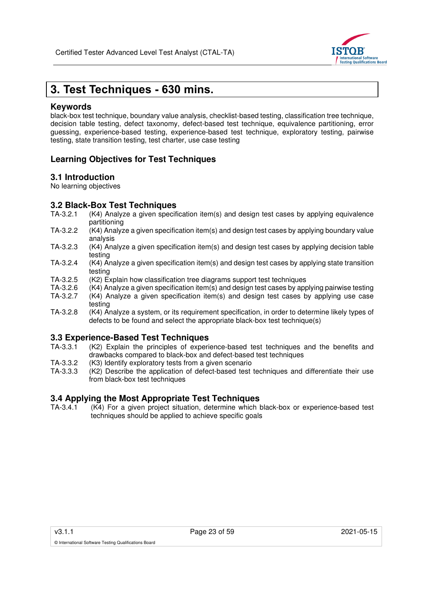

# **3. Test Techniques - 630 mins.**

## **Keywords**

black-box test technique, boundary value analysis, checklist-based testing, classification tree technique, decision table testing, defect taxonomy, defect-based test technique, equivalence partitioning, error guessing, experience-based testing, experience-based test technique, exploratory testing, pairwise testing, state transition testing, test charter, use case testing

## **Learning Objectives for Test Techniques**

## **3.1 Introduction**

No learning objectives

# **3.2 Black-Box Test Techniques**<br>TA-3.2.1 (K4) Analyze a given specif

- $(K4)$  Analyze a given specification item(s) and design test cases by applying equivalence partitioning
- TA-3.2.2 (K4) Analyze a given specification item(s) and design test cases by applying boundary value analysis
- TA-3.2.3 (K4) Analyze a given specification item(s) and design test cases by applying decision table testing
- TA-3.2.4 (K4) Analyze a given specification item(s) and design test cases by applying state transition testing
- TA-3.2.5 (K2) Explain how classification tree diagrams support test techniques<br>TA-3.2.6 (K4) Analyze a given specification item(s) and design test cases by app
- $(K4)$  Analyze a given specification item(s) and design test cases by applying pairwise testing
- TA-3.2.7 (K4) Analyze a given specification item(s) and design test cases by applying use case testing
- TA-3.2.8 (K4) Analyze a system, or its requirement specification, in order to determine likely types of defects to be found and select the appropriate black-box test technique(s)

# **3.3 Experience-Based Test Techniques**

- (K2) Explain the principles of experience-based test techniques and the benefits and drawbacks compared to black-box and defect-based test techniques
- TA-3.3.2 (K3) Identify exploratory tests from a given scenario
- TA-3.3.3 (K2) Describe the application of defect-based test techniques and differentiate their use from black-box test techniques

### **3.4 Applying the Most Appropriate Test Techniques**

TA-3.4.1 (K4) For a given project situation, determine which black-box or experience-based test techniques should be applied to achieve specific goals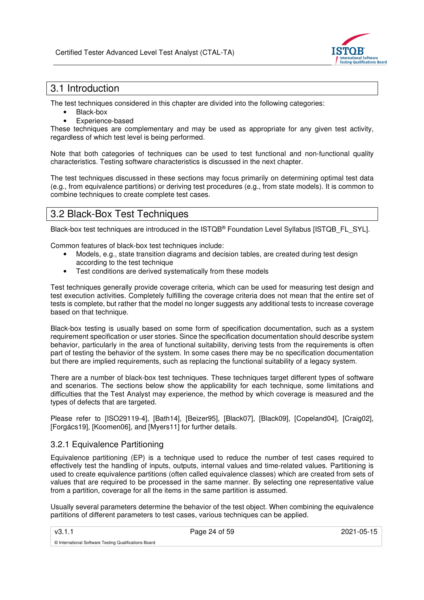

# 3.1 Introduction

The test techniques considered in this chapter are divided into the following categories:

- Black-box
- Experience-based

These techniques are complementary and may be used as appropriate for any given test activity, regardless of which test level is being performed.

Note that both categories of techniques can be used to test functional and non-functional quality characteristics. Testing software characteristics is discussed in the next chapter.

The test techniques discussed in these sections may focus primarily on determining optimal test data (e.g., from equivalence partitions) or deriving test procedures (e.g., from state models). It is common to combine techniques to create complete test cases.

## 3.2 Black-Box Test Techniques

Black-box test techniques are introduced in the ISTQB® Foundation Level Syllabus [ISTQB\_FL\_SYL].

Common features of black-box test techniques include:

- Models, e.g., state transition diagrams and decision tables, are created during test design according to the test technique
- Test conditions are derived systematically from these models

Test techniques generally provide coverage criteria, which can be used for measuring test design and test execution activities. Completely fulfilling the coverage criteria does not mean that the entire set of tests is complete, but rather that the model no longer suggests any additional tests to increase coverage based on that technique.

Black-box testing is usually based on some form of specification documentation, such as a system requirement specification or user stories. Since the specification documentation should describe system behavior, particularly in the area of functional suitability, deriving tests from the requirements is often part of testing the behavior of the system. In some cases there may be no specification documentation but there are implied requirements, such as replacing the functional suitability of a legacy system.

There are a number of black-box test techniques. These techniques target different types of software and scenarios. The sections below show the applicability for each technique, some limitations and difficulties that the Test Analyst may experience, the method by which coverage is measured and the types of defects that are targeted.

Please refer to [ISO29119-4], [Bath14], [Beizer95], [Black07], [Black09], [Copeland04], [Craig02], [Forgács19], [Koomen06], and [Myers11] for further details.

## 3.2.1 Equivalence Partitioning

Equivalence partitioning (EP) is a technique used to reduce the number of test cases required to effectively test the handling of inputs, outputs, internal values and time-related values. Partitioning is used to create equivalence partitions (often called equivalence classes) which are created from sets of values that are required to be processed in the same manner. By selecting one representative value from a partition, coverage for all the items in the same partition is assumed.

Usually several parameters determine the behavior of the test object. When combining the equivalence partitions of different parameters to test cases, various techniques can be applied.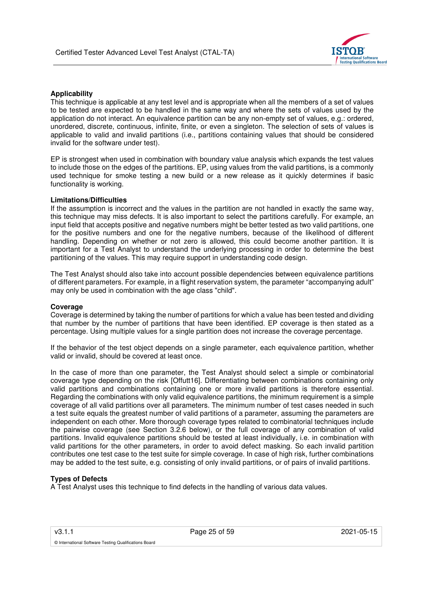

#### **Applicability**

This technique is applicable at any test level and is appropriate when all the members of a set of values to be tested are expected to be handled in the same way and where the sets of values used by the application do not interact. An equivalence partition can be any non-empty set of values, e.g.: ordered, unordered, discrete, continuous, infinite, finite, or even a singleton. The selection of sets of values is applicable to valid and invalid partitions (i.e., partitions containing values that should be considered invalid for the software under test).

EP is strongest when used in combination with boundary value analysis which expands the test values to include those on the edges of the partitions. EP, using values from the valid partitions, is a commonly used technique for smoke testing a new build or a new release as it quickly determines if basic functionality is working.

#### **Limitations/Difficulties**

If the assumption is incorrect and the values in the partition are not handled in exactly the same way, this technique may miss defects. It is also important to select the partitions carefully. For example, an input field that accepts positive and negative numbers might be better tested as two valid partitions, one for the positive numbers and one for the negative numbers, because of the likelihood of different handling. Depending on whether or not zero is allowed, this could become another partition. It is important for a Test Analyst to understand the underlying processing in order to determine the best partitioning of the values. This may require support in understanding code design.

The Test Analyst should also take into account possible dependencies between equivalence partitions of different parameters. For example, in a flight reservation system, the parameter "accompanying adult" may only be used in combination with the age class "child".

#### **Coverage**

Coverage is determined by taking the number of partitions for which a value has been tested and dividing that number by the number of partitions that have been identified. EP coverage is then stated as a percentage. Using multiple values for a single partition does not increase the coverage percentage.

If the behavior of the test object depends on a single parameter, each equivalence partition, whether valid or invalid, should be covered at least once.

In the case of more than one parameter, the Test Analyst should select a simple or combinatorial coverage type depending on the risk [Offutt16]. Differentiating between combinations containing only valid partitions and combinations containing one or more invalid partitions is therefore essential. Regarding the combinations with only valid equivalence partitions, the minimum requirement is a simple coverage of all valid partitions over all parameters. The minimum number of test cases needed in such a test suite equals the greatest number of valid partitions of a parameter, assuming the parameters are independent on each other. More thorough coverage types related to combinatorial techniques include the pairwise coverage (see Section 3.2.6 below), or the full coverage of any combination of valid partitions. Invalid equivalence partitions should be tested at least individually, i.e. in combination with valid partitions for the other parameters, in order to avoid defect masking. So each invalid partition contributes one test case to the test suite for simple coverage. In case of high risk, further combinations may be added to the test suite, e.g. consisting of only invalid partitions, or of pairs of invalid partitions.

#### **Types of Defects**

© International Software Testing Qualifications Board

A Test Analyst uses this technique to find defects in the handling of various data values.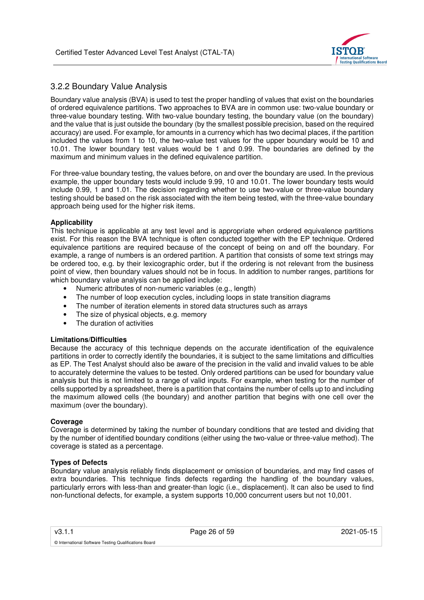

## 3.2.2 Boundary Value Analysis

Boundary value analysis (BVA) is used to test the proper handling of values that exist on the boundaries of ordered equivalence partitions. Two approaches to BVA are in common use: two-value boundary or three-value boundary testing. With two-value boundary testing, the boundary value (on the boundary) and the value that is just outside the boundary (by the smallest possible precision, based on the required accuracy) are used. For example, for amounts in a currency which has two decimal places, if the partition included the values from 1 to 10, the two-value test values for the upper boundary would be 10 and 10.01. The lower boundary test values would be 1 and 0.99. The boundaries are defined by the maximum and minimum values in the defined equivalence partition.

For three-value boundary testing, the values before, on and over the boundary are used. In the previous example, the upper boundary tests would include 9.99, 10 and 10.01. The lower boundary tests would include 0.99, 1 and 1.01. The decision regarding whether to use two-value or three-value boundary testing should be based on the risk associated with the item being tested, with the three-value boundary approach being used for the higher risk items.

#### **Applicability**

This technique is applicable at any test level and is appropriate when ordered equivalence partitions exist. For this reason the BVA technique is often conducted together with the EP technique. Ordered equivalence partitions are required because of the concept of being on and off the boundary. For example, a range of numbers is an ordered partition. A partition that consists of some text strings may be ordered too, e.g. by their lexicographic order, but if the ordering is not relevant from the business point of view, then boundary values should not be in focus. In addition to number ranges, partitions for which boundary value analysis can be applied include:

- Numeric attributes of non-numeric variables (e.g., length)
- The number of loop execution cycles, including loops in state transition diagrams
- The number of iteration elements in stored data structures such as arrays
- The size of physical objects, e.g. memory
- The duration of activities

#### **Limitations/Difficulties**

Because the accuracy of this technique depends on the accurate identification of the equivalence partitions in order to correctly identify the boundaries, it is subject to the same limitations and difficulties as EP. The Test Analyst should also be aware of the precision in the valid and invalid values to be able to accurately determine the values to be tested. Only ordered partitions can be used for boundary value analysis but this is not limited to a range of valid inputs. For example, when testing for the number of cells supported by a spreadsheet, there is a partition that contains the number of cells up to and including the maximum allowed cells (the boundary) and another partition that begins with one cell over the maximum (over the boundary).

#### **Coverage**

Coverage is determined by taking the number of boundary conditions that are tested and dividing that by the number of identified boundary conditions (either using the two-value or three-value method). The coverage is stated as a percentage.

#### **Types of Defects**

© International Software Testing Qualifications Board

Boundary value analysis reliably finds displacement or omission of boundaries, and may find cases of extra boundaries. This technique finds defects regarding the handling of the boundary values, particularly errors with less-than and greater-than logic (i.e., displacement). It can also be used to find non-functional defects, for example, a system supports 10,000 concurrent users but not 10,001.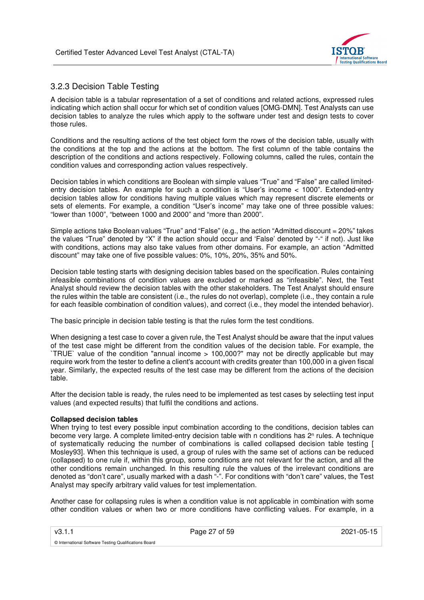

## 3.2.3 Decision Table Testing

A decision table is a tabular representation of a set of conditions and related actions, expressed rules indicating which action shall occur for which set of condition values [OMG-DMN]. Test Analysts can use decision tables to analyze the rules which apply to the software under test and design tests to cover those rules.

Conditions and the resulting actions of the test object form the rows of the decision table, usually with the conditions at the top and the actions at the bottom. The first column of the table contains the description of the conditions and actions respectively. Following columns, called the rules, contain the condition values and corresponding action values respectively.

Decision tables in which conditions are Boolean with simple values "True" and "False" are called limitedentry decision tables. An example for such a condition is "User's income < 1000". Extended-entry decision tables allow for conditions having multiple values which may represent discrete elements or sets of elements. For example, a condition "User's income" may take one of three possible values: "lower than 1000", "between 1000 and 2000" and "more than 2000".

Simple actions take Boolean values "True" and "False" (e.g., the action "Admitted discount = 20%" takes the values "True" denoted by "X" if the action should occur and 'False' denoted by "-" if not). Just like with conditions, actions may also take values from other domains. For example, an action "Admitted discount" may take one of five possible values: 0%, 10%, 20%, 35% and 50%.

Decision table testing starts with designing decision tables based on the specification. Rules containing infeasible combinations of condition values are excluded or marked as "infeasible". Next, the Test Analyst should review the decision tables with the other stakeholders. The Test Analyst should ensure the rules within the table are consistent (i.e., the rules do not overlap), complete (i.e., they contain a rule for each feasible combination of condition values), and correct (i.e., they model the intended behavior).

The basic principle in decision table testing is that the rules form the test conditions.

When designing a test case to cover a given rule, the Test Analyst should be aware that the input values of the test case might be different from the condition values of the decision table. For example, the `TRUE` value of the condition "annual income > 100,000?" may not be directly applicable but may require work from the tester to define a client's account with credits greater than 100,000 in a given fiscal year. Similarly, the expected results of the test case may be different from the actions of the decision table.

After the decision table is ready, the rules need to be implemented as test cases by selectiing test input values (and expected results) that fulfil the conditions and actions.

#### **Collapsed decision tables**

© International Software Testing Qualifications Board

When trying to test every possible input combination according to the conditions, decision tables can become very large. A complete limited-entry decision table with n conditions has 2<sup>n</sup> rules. A technique of systematically reducing the number of combinations is called collapsed decision table testing [ Mosley93]. When this technique is used, a group of rules with the same set of actions can be reduced (collapsed) to one rule if, within this group, some conditions are not relevant for the action, and all the other conditions remain unchanged. In this resulting rule the values of the irrelevant conditions are denoted as "don't care", usually marked with a dash "-". For conditions with "don't care" values, the Test Analyst may specify arbitrary valid values for test implementation.

Another case for collapsing rules is when a condition value is not applicable in combination with some other condition values or when two or more conditions have conflicting values. For example, in a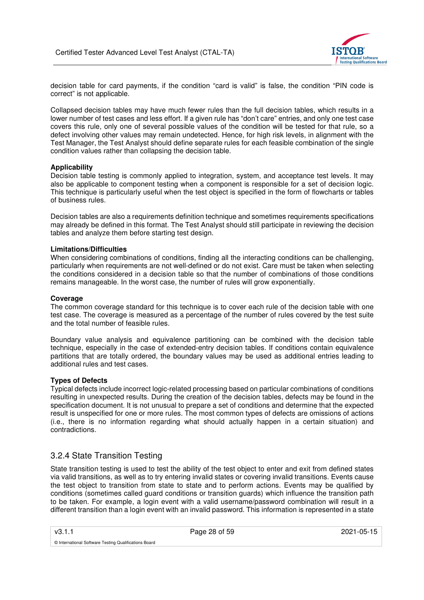

decision table for card payments, if the condition "card is valid" is false, the condition "PIN code is correct" is not applicable.

Collapsed decision tables may have much fewer rules than the full decision tables, which results in a lower number of test cases and less effort. If a given rule has "don't care" entries, and only one test case covers this rule, only one of several possible values of the condition will be tested for that rule, so a defect involving other values may remain undetected. Hence, for high risk levels, in alignment with the Test Manager, the Test Analyst should define separate rules for each feasible combination of the single condition values rather than collapsing the decision table.

#### **Applicability**

Decision table testing is commonly applied to integration, system, and acceptance test levels. It may also be applicable to component testing when a component is responsible for a set of decision logic. This technique is particularly useful when the test object is specified in the form of flowcharts or tables of business rules.

Decision tables are also a requirements definition technique and sometimes requirements specifications may already be defined in this format. The Test Analyst should still participate in reviewing the decision tables and analyze them before starting test design.

#### **Limitations/Difficulties**

When considering combinations of conditions, finding all the interacting conditions can be challenging, particularly when requirements are not well-defined or do not exist. Care must be taken when selecting the conditions considered in a decision table so that the number of combinations of those conditions remains manageable. In the worst case, the number of rules will grow exponentially.

#### **Coverage**

The common coverage standard for this technique is to cover each rule of the decision table with one test case. The coverage is measured as a percentage of the number of rules covered by the test suite and the total number of feasible rules.

Boundary value analysis and equivalence partitioning can be combined with the decision table technique, especially in the case of extended-entry decision tables. If conditions contain equivalence partitions that are totally ordered, the boundary values may be used as additional entries leading to additional rules and test cases.

#### **Types of Defects**

Typical defects include incorrect logic-related processing based on particular combinations of conditions resulting in unexpected results. During the creation of the decision tables, defects may be found in the specification document. It is not unusual to prepare a set of conditions and determine that the expected result is unspecified for one or more rules. The most common types of defects are omissions of actions (i.e., there is no information regarding what should actually happen in a certain situation) and contradictions.

## 3.2.4 State Transition Testing

© International Software Testing Qualifications Board

State transition testing is used to test the ability of the test object to enter and exit from defined states via valid transitions, as well as to try entering invalid states or covering invalid transitions. Events cause the test object to transition from state to state and to perform actions. Events may be qualified by conditions (sometimes called guard conditions or transition guards) which influence the transition path to be taken. For example, a login event with a valid username/password combination will result in a different transition than a login event with an invalid password. This information is represented in a state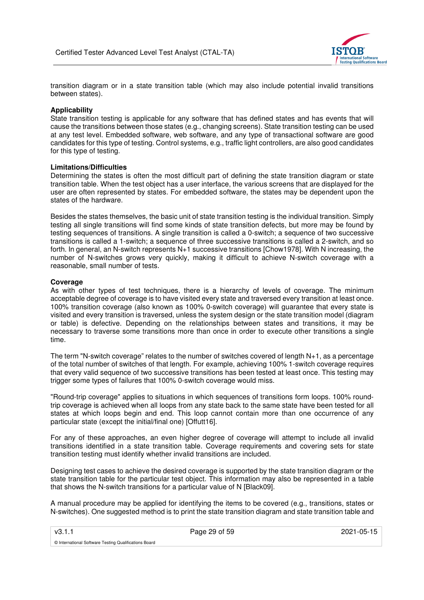

transition diagram or in a state transition table (which may also include potential invalid transitions between states).

#### **Applicability**

State transition testing is applicable for any software that has defined states and has events that will cause the transitions between those states (e.g., changing screens). State transition testing can be used at any test level. Embedded software, web software, and any type of transactional software are good candidates for this type of testing. Control systems, e.g., traffic light controllers, are also good candidates for this type of testing.

#### **Limitations/Difficulties**

Determining the states is often the most difficult part of defining the state transition diagram or state transition table. When the test object has a user interface, the various screens that are displayed for the user are often represented by states. For embedded software, the states may be dependent upon the states of the hardware.

Besides the states themselves, the basic unit of state transition testing is the individual transition. Simply testing all single transitions will find some kinds of state transition defects, but more may be found by testing sequences of transitions. A single transition is called a 0-switch; a sequence of two successive transitions is called a 1-switch; a sequence of three successive transitions is called a 2-switch, and so forth. In general, an N-switch represents N+1 successive transitions [Chow1978]. With N increasing, the number of N-switches grows very quickly, making it difficult to achieve N-switch coverage with a reasonable, small number of tests.

#### **Coverage**

As with other types of test techniques, there is a hierarchy of levels of coverage. The minimum acceptable degree of coverage is to have visited every state and traversed every transition at least once. 100% transition coverage (also known as 100% 0-switch coverage) will guarantee that every state is visited and every transition is traversed, unless the system design or the state transition model (diagram or table) is defective. Depending on the relationships between states and transitions, it may be necessary to traverse some transitions more than once in order to execute other transitions a single time.

The term "N-switch coverage" relates to the number of switches covered of length N+1, as a percentage of the total number of switches of that length. For example, achieving 100% 1-switch coverage requires that every valid sequence of two successive transitions has been tested at least once. This testing may trigger some types of failures that 100% 0-switch coverage would miss.

"Round-trip coverage" applies to situations in which sequences of transitions form loops. 100% roundtrip coverage is achieved when all loops from any state back to the same state have been tested for all states at which loops begin and end. This loop cannot contain more than one occurrence of any particular state (except the initial/final one) [Offutt16].

For any of these approaches, an even higher degree of coverage will attempt to include all invalid transitions identified in a state transition table. Coverage requirements and covering sets for state transition testing must identify whether invalid transitions are included.

Designing test cases to achieve the desired coverage is supported by the state transition diagram or the state transition table for the particular test object. This information may also be represented in a table that shows the N-switch transitions for a particular value of N [Black09].

A manual procedure may be applied for identifying the items to be covered (e.g., transitions, states or N-switches). One suggested method is to print the state transition diagram and state transition table and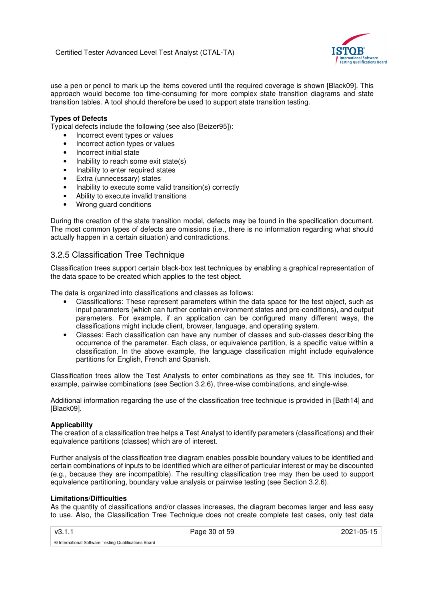

use a pen or pencil to mark up the items covered until the required coverage is shown [Black09]. This approach would become too time-consuming for more complex state transition diagrams and state transition tables. A tool should therefore be used to support state transition testing.

#### **Types of Defects**

Typical defects include the following (see also [Beizer95]):

- Incorrect event types or values
- Incorrect action types or values
- Incorrect initial state
- Inability to reach some exit state(s)
- Inability to enter required states
- Extra (unnecessary) states
- Inability to execute some valid transition(s) correctly
- Ability to execute invalid transitions
- Wrong guard conditions

During the creation of the state transition model, defects may be found in the specification document. The most common types of defects are omissions (i.e., there is no information regarding what should actually happen in a certain situation) and contradictions.

## 3.2.5 Classification Tree Technique

Classification trees support certain black-box test techniques by enabling a graphical representation of the data space to be created which applies to the test object.

The data is organized into classifications and classes as follows:

- Classifications: These represent parameters within the data space for the test object, such as input parameters (which can further contain environment states and pre-conditions), and output parameters. For example, if an application can be configured many different ways, the classifications might include client, browser, language, and operating system.
- Classes: Each classification can have any number of classes and sub-classes describing the occurrence of the parameter. Each class, or equivalence partition, is a specific value within a classification. In the above example, the language classification might include equivalence partitions for English, French and Spanish.

Classification trees allow the Test Analysts to enter combinations as they see fit. This includes, for example, pairwise combinations (see Section 3.2.6), three-wise combinations, and single-wise.

Additional information regarding the use of the classification tree technique is provided in [Bath14] and [Black09].

#### **Applicability**

The creation of a classification tree helps a Test Analyst to identify parameters (classifications) and their equivalence partitions (classes) which are of interest.

Further analysis of the classification tree diagram enables possible boundary values to be identified and certain combinations of inputs to be identified which are either of particular interest or may be discounted (e.g., because they are incompatible). The resulting classification tree may then be used to support equivalence partitioning, boundary value analysis or pairwise testing (see Section 3.2.6).

#### **Limitations/Difficulties**

As the quantity of classifications and/or classes increases, the diagram becomes larger and less easy to use. Also, the Classification Tree Technique does not create complete test cases, only test data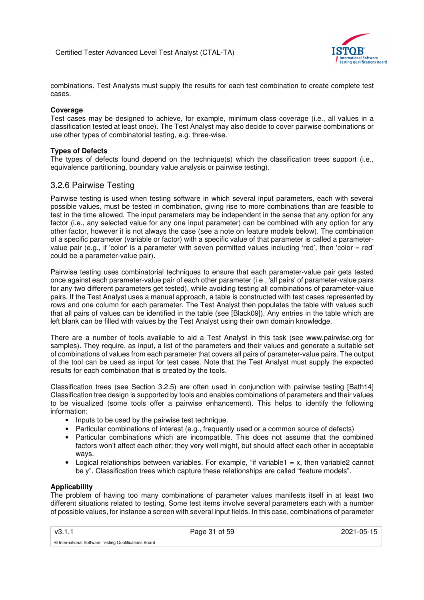

combinations. Test Analysts must supply the results for each test combination to create complete test cases.

#### **Coverage**

Test cases may be designed to achieve, for example, minimum class coverage (i.e., all values in a classification tested at least once). The Test Analyst may also decide to cover pairwise combinations or use other types of combinatorial testing, e.g. three-wise.

#### **Types of Defects**

The types of defects found depend on the technique(s) which the classification trees support (i.e., equivalence partitioning, boundary value analysis or pairwise testing).

### 3.2.6 Pairwise Testing

Pairwise testing is used when testing software in which several input parameters, each with several possible values, must be tested in combination, giving rise to more combinations than are feasible to test in the time allowed. The input parameters may be independent in the sense that any option for any factor (i.e., any selected value for any one input parameter) can be combined with any option for any other factor, however it is not always the case (see a note on feature models below). The combination of a specific parameter (variable or factor) with a specific value of that parameter is called a parametervalue pair (e.g., if 'color' is a parameter with seven permitted values including 'red', then 'color = red' could be a parameter-value pair).

Pairwise testing uses combinatorial techniques to ensure that each parameter-value pair gets tested once against each parameter-value pair of each other parameter (i.e., 'all pairs' of parameter-value pairs for any two different parameters get tested), while avoiding testing all combinations of parameter-value pairs. If the Test Analyst uses a manual approach, a table is constructed with test cases represented by rows and one column for each parameter. The Test Analyst then populates the table with values such that all pairs of values can be identified in the table (see [Black09]). Any entries in the table which are left blank can be filled with values by the Test Analyst using their own domain knowledge.

There are a number of tools available to aid a Test Analyst in this task (see www.pairwise.org for samples). They require, as input, a list of the parameters and their values and generate a suitable set of combinations of values from each parameter that covers all pairs of parameter-value pairs. The output of the tool can be used as input for test cases. Note that the Test Analyst must supply the expected results for each combination that is created by the tools.

Classification trees (see Section 3.2.5) are often used in conjunction with pairwise testing [Bath14] Classification tree design is supported by tools and enables combinations of parameters and their values to be visualized (some tools offer a pairwise enhancement). This helps to identify the following information:

- Inputs to be used by the pairwise test technique.
- Particular combinations of interest (e.g., frequently used or a common source of defects)
- Particular combinations which are incompatible. This does not assume that the combined factors won't affect each other; they very well might, but should affect each other in acceptable ways.
- Logical relationships between variables. For example, "if variable1 = x, then variable2 cannot be y". Classification trees which capture these relationships are called "feature models".

#### **Applicability**

The problem of having too many combinations of parameter values manifests itself in at least two different situations related to testing. Some test items involve several parameters each with a number of possible values, for instance a screen with several input fields. In this case, combinations of parameter

v3.1.1 Page 31 of 59 2021-05-15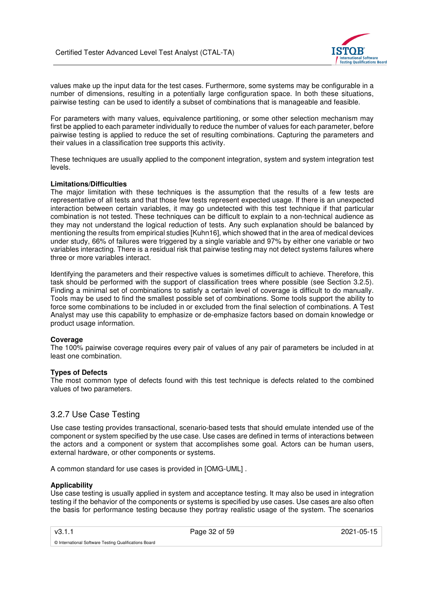

values make up the input data for the test cases. Furthermore, some systems may be configurable in a number of dimensions, resulting in a potentially large configuration space. In both these situations, pairwise testing can be used to identify a subset of combinations that is manageable and feasible.

For parameters with many values, equivalence partitioning, or some other selection mechanism may first be applied to each parameter individually to reduce the number of values for each parameter, before pairwise testing is applied to reduce the set of resulting combinations. Capturing the parameters and their values in a classification tree supports this activity.

These techniques are usually applied to the component integration, system and system integration test levels.

#### **Limitations/Difficulties**

The major limitation with these techniques is the assumption that the results of a few tests are representative of all tests and that those few tests represent expected usage. If there is an unexpected interaction between certain variables, it may go undetected with this test technique if that particular combination is not tested. These techniques can be difficult to explain to a non-technical audience as they may not understand the logical reduction of tests. Any such explanation should be balanced by mentioning the results from empirical studies [Kuhn16], which showed that in the area of medical devices under study, 66% of failures were triggered by a single variable and 97% by either one variable or two variables interacting. There is a residual risk that pairwise testing may not detect systems failures where three or more variables interact.

Identifying the parameters and their respective values is sometimes difficult to achieve. Therefore, this task should be performed with the support of classification trees where possible (see Section 3.2.5). Finding a minimal set of combinations to satisfy a certain level of coverage is difficult to do manually. Tools may be used to find the smallest possible set of combinations. Some tools support the ability to force some combinations to be included in or excluded from the final selection of combinations. A Test Analyst may use this capability to emphasize or de-emphasize factors based on domain knowledge or product usage information.

#### **Coverage**

The 100% pairwise coverage requires every pair of values of any pair of parameters be included in at least one combination.

#### **Types of Defects**

The most common type of defects found with this test technique is defects related to the combined values of two parameters.

## 3.2.7 Use Case Testing

Use case testing provides transactional, scenario-based tests that should emulate intended use of the component or system specified by the use case. Use cases are defined in terms of interactions between the actors and a component or system that accomplishes some goal. Actors can be human users, external hardware, or other components or systems.

A common standard for use cases is provided in [OMG-UML] .

#### **Applicability**

Use case testing is usually applied in system and acceptance testing. It may also be used in integration testing if the behavior of the components or systems is specified by use cases. Use cases are also often the basis for performance testing because they portray realistic usage of the system. The scenarios

v3.1.1 **Page 32 of 59 2021-05-15** 2021-05-15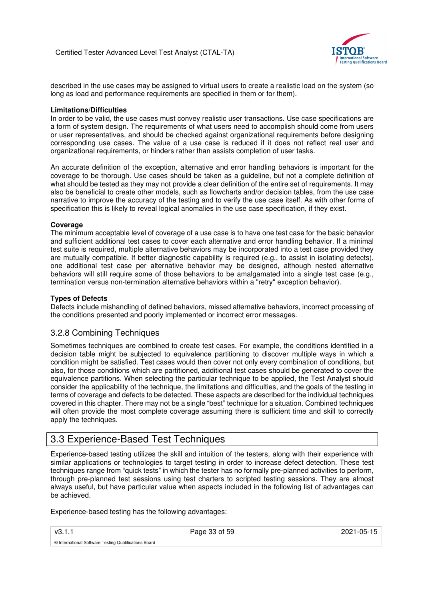

described in the use cases may be assigned to virtual users to create a realistic load on the system (so long as load and performance requirements are specified in them or for them).

#### **Limitations/Difficulties**

In order to be valid, the use cases must convey realistic user transactions. Use case specifications are a form of system design. The requirements of what users need to accomplish should come from users or user representatives, and should be checked against organizational requirements before designing corresponding use cases. The value of a use case is reduced if it does not reflect real user and organizational requirements, or hinders rather than assists completion of user tasks.

An accurate definition of the exception, alternative and error handling behaviors is important for the coverage to be thorough. Use cases should be taken as a guideline, but not a complete definition of what should be tested as they may not provide a clear definition of the entire set of requirements. It may also be beneficial to create other models, such as flowcharts and/or decision tables, from the use case narrative to improve the accuracy of the testing and to verify the use case itself. As with other forms of specification this is likely to reveal logical anomalies in the use case specification, if they exist.

#### **Coverage**

The minimum acceptable level of coverage of a use case is to have one test case for the basic behavior and sufficient additional test cases to cover each alternative and error handling behavior. If a minimal test suite is required, multiple alternative behaviors may be incorporated into a test case provided they are mutually compatible. If better diagnostic capability is required (e.g., to assist in isolating defects), one additional test case per alternative behavior may be designed, although nested alternative behaviors will still require some of those behaviors to be amalgamated into a single test case (e.g., termination versus non-termination alternative behaviors within a "retry" exception behavior).

#### **Types of Defects**

Defects include mishandling of defined behaviors, missed alternative behaviors, incorrect processing of the conditions presented and poorly implemented or incorrect error messages.

### 3.2.8 Combining Techniques

Sometimes techniques are combined to create test cases. For example, the conditions identified in a decision table might be subjected to equivalence partitioning to discover multiple ways in which a condition might be satisfied. Test cases would then cover not only every combination of conditions, but also, for those conditions which are partitioned, additional test cases should be generated to cover the equivalence partitions. When selecting the particular technique to be applied, the Test Analyst should consider the applicability of the technique, the limitations and difficulties, and the goals of the testing in terms of coverage and defects to be detected. These aspects are described for the individual techniques covered in this chapter. There may not be a single "best" technique for a situation. Combined techniques will often provide the most complete coverage assuming there is sufficient time and skill to correctly apply the techniques.

## 3.3 Experience-Based Test Techniques

Experience-based testing utilizes the skill and intuition of the testers, along with their experience with similar applications or technologies to target testing in order to increase defect detection. These test techniques range from "quick tests" in which the tester has no formally pre-planned activities to perform, through pre-planned test sessions using test charters to scripted testing sessions. They are almost always useful, but have particular value when aspects included in the following list of advantages can be achieved.

Experience-based testing has the following advantages:

v3.1.1 **Page 33 of 59 2021-05-15** 2021-05-15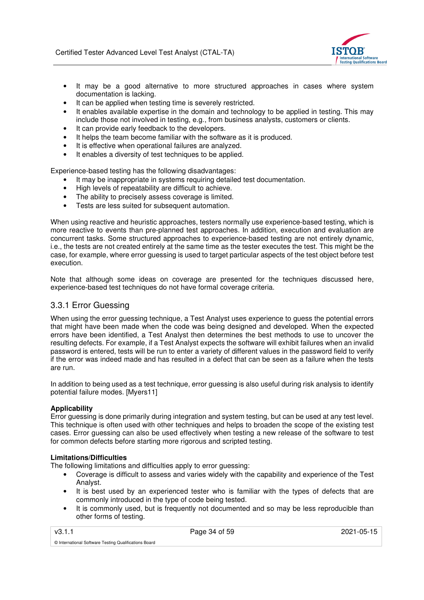

- It may be a good alternative to more structured approaches in cases where system documentation is lacking.
- It can be applied when testing time is severely restricted.
- It enables available expertise in the domain and technology to be applied in testing. This may include those not involved in testing, e.g., from business analysts, customers or clients.
- It can provide early feedback to the developers.
- It helps the team become familiar with the software as it is produced.
- It is effective when operational failures are analyzed.
- It enables a diversity of test techniques to be applied.

Experience-based testing has the following disadvantages:

- It may be inappropriate in systems requiring detailed test documentation.
- High levels of repeatability are difficult to achieve.
- The ability to precisely assess coverage is limited.
- Tests are less suited for subsequent automation.

When using reactive and heuristic approaches, testers normally use experience-based testing, which is more reactive to events than pre-planned test approaches. In addition, execution and evaluation are concurrent tasks. Some structured approaches to experience-based testing are not entirely dynamic, i.e., the tests are not created entirely at the same time as the tester executes the test. This might be the case, for example, where error guessing is used to target particular aspects of the test object before test execution.

Note that although some ideas on coverage are presented for the techniques discussed here, experience-based test techniques do not have formal coverage criteria.

## 3.3.1 Error Guessing

When using the error guessing technique, a Test Analyst uses experience to guess the potential errors that might have been made when the code was being designed and developed. When the expected errors have been identified, a Test Analyst then determines the best methods to use to uncover the resulting defects. For example, if a Test Analyst expects the software will exhibit failures when an invalid password is entered, tests will be run to enter a variety of different values in the password field to verify if the error was indeed made and has resulted in a defect that can be seen as a failure when the tests are run.

In addition to being used as a test technique, error guessing is also useful during risk analysis to identify potential failure modes. [Myers11]

#### **Applicability**

Error guessing is done primarily during integration and system testing, but can be used at any test level. This technique is often used with other techniques and helps to broaden the scope of the existing test cases. Error guessing can also be used effectively when testing a new release of the software to test for common defects before starting more rigorous and scripted testing.

#### **Limitations/Difficulties**

© International Software Testing Qualifications Board

The following limitations and difficulties apply to error guessing:

- Coverage is difficult to assess and varies widely with the capability and experience of the Test Analyst.
- It is best used by an experienced tester who is familiar with the types of defects that are commonly introduced in the type of code being tested.
- It is commonly used, but is frequently not documented and so may be less reproducible than other forms of testing.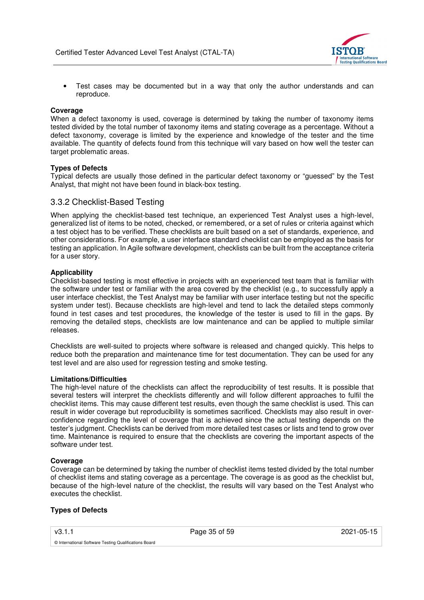

• Test cases may be documented but in a way that only the author understands and can reproduce.

#### **Coverage**

When a defect taxonomy is used, coverage is determined by taking the number of taxonomy items tested divided by the total number of taxonomy items and stating coverage as a percentage. Without a defect taxonomy, coverage is limited by the experience and knowledge of the tester and the time available. The quantity of defects found from this technique will vary based on how well the tester can target problematic areas.

#### **Types of Defects**

Typical defects are usually those defined in the particular defect taxonomy or "guessed" by the Test Analyst, that might not have been found in black-box testing.

### 3.3.2 Checklist-Based Testing

When applying the checklist-based test technique, an experienced Test Analyst uses a high-level, generalized list of items to be noted, checked, or remembered, or a set of rules or criteria against which a test object has to be verified. These checklists are built based on a set of standards, experience, and other considerations. For example, a user interface standard checklist can be employed as the basis for testing an application. In Agile software development, checklists can be built from the acceptance criteria for a user story.

#### **Applicability**

Checklist-based testing is most effective in projects with an experienced test team that is familiar with the software under test or familiar with the area covered by the checklist (e.g., to successfully apply a user interface checklist, the Test Analyst may be familiar with user interface testing but not the specific system under test). Because checklists are high-level and tend to lack the detailed steps commonly found in test cases and test procedures, the knowledge of the tester is used to fill in the gaps. By removing the detailed steps, checklists are low maintenance and can be applied to multiple similar releases.

Checklists are well-suited to projects where software is released and changed quickly. This helps to reduce both the preparation and maintenance time for test documentation. They can be used for any test level and are also used for regression testing and smoke testing.

#### **Limitations/Difficulties**

The high-level nature of the checklists can affect the reproducibility of test results. It is possible that several testers will interpret the checklists differently and will follow different approaches to fulfil the checklist items. This may cause different test results, even though the same checklist is used. This can result in wider coverage but reproducibility is sometimes sacrificed. Checklists may also result in overconfidence regarding the level of coverage that is achieved since the actual testing depends on the tester's judgment. Checklists can be derived from more detailed test cases or lists and tend to grow over time. Maintenance is required to ensure that the checklists are covering the important aspects of the software under test.

#### **Coverage**

Coverage can be determined by taking the number of checklist items tested divided by the total number of checklist items and stating coverage as a percentage. The coverage is as good as the checklist but, because of the high-level nature of the checklist, the results will vary based on the Test Analyst who executes the checklist.

#### **Types of Defects**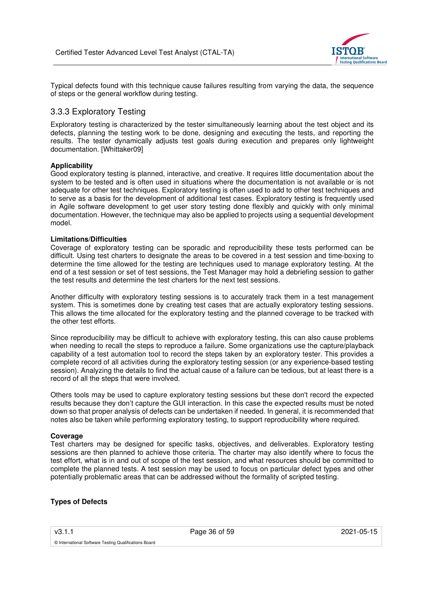

Typical defects found with this technique cause failures resulting from varying the data, the sequence of steps or the general workflow during testing.

## 3.3.3 Exploratory Testing

Exploratory testing is characterized by the tester simultaneously learning about the test object and its defects, planning the testing work to be done, designing and executing the tests, and reporting the results. The tester dynamically adjusts test goals during execution and prepares only lightweight documentation. [Whittaker09]

#### **Applicability**

Good exploratory testing is planned, interactive, and creative. It requires little documentation about the system to be tested and is often used in situations where the documentation is not available or is not adequate for other test techniques. Exploratory testing is often used to add to other test techniques and to serve as a basis for the development of additional test cases. Exploratory testing is frequently used in Agile software development to get user story testing done flexibly and quickly with only minimal documentation. However, the technique may also be applied to projects using a sequential development model.

#### **Limitations/Difficulties**

Coverage of exploratory testing can be sporadic and reproducibility these tests performed can be difficult. Using test charters to designate the areas to be covered in a test session and time-boxing to determine the time allowed for the testing are techniques used to manage exploratory testing. At the end of a test session or set of test sessions, the Test Manager may hold a debriefing session to gather the test results and determine the test charters for the next test sessions.

Another difficulty with exploratory testing sessions is to accurately track them in a test management system. This is sometimes done by creating test cases that are actually exploratory testing sessions. This allows the time allocated for the exploratory testing and the planned coverage to be tracked with the other test efforts.

Since reproducibility may be difficult to achieve with exploratory testing, this can also cause problems when needing to recall the steps to reproduce a failure. Some organizations use the capture/playback capability of a test automation tool to record the steps taken by an exploratory tester. This provides a complete record of all activities during the exploratory testing session (or any experience-based testing session). Analyzing the details to find the actual cause of a failure can be tedious, but at least there is a record of all the steps that were involved.

Others tools may be used to capture exploratory testing sessions but these don't record the expected results because they don't capture the GUI interaction. In this case the expected results must be noted down so that proper analysis of defects can be undertaken if needed. In general, it is recommended that notes also be taken while performing exploratory testing, to support reproducibility where required.

#### **Coverage**

Test charters may be designed for specific tasks, objectives, and deliverables. Exploratory testing sessions are then planned to achieve those criteria. The charter may also identify where to focus the test effort, what is in and out of scope of the test session, and what resources should be committed to complete the planned tests. A test session may be used to focus on particular defect types and other potentially problematic areas that can be addressed without the formality of scripted testing.

#### **Types of Defects**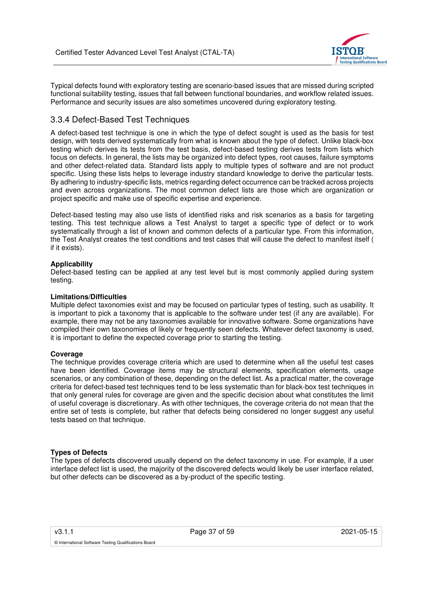

Typical defects found with exploratory testing are scenario-based issues that are missed during scripted functional suitability testing, issues that fall between functional boundaries, and workflow related issues. Performance and security issues are also sometimes uncovered during exploratory testing.

## 3.3.4 Defect-Based Test Techniques

A defect-based test technique is one in which the type of defect sought is used as the basis for test design, with tests derived systematically from what is known about the type of defect. Unlike black-box testing which derives its tests from the test basis, defect-based testing derives tests from lists which focus on defects. In general, the lists may be organized into defect types, root causes, failure symptoms and other defect-related data. Standard lists apply to multiple types of software and are not product specific. Using these lists helps to leverage industry standard knowledge to derive the particular tests. By adhering to industry-specific lists, metrics regarding defect occurrence can be tracked across projects and even across organizations. The most common defect lists are those which are organization or project specific and make use of specific expertise and experience.

Defect-based testing may also use lists of identified risks and risk scenarios as a basis for targeting testing. This test technique allows a Test Analyst to target a specific type of defect or to work systematically through a list of known and common defects of a particular type. From this information, the Test Analyst creates the test conditions and test cases that will cause the defect to manifest itself ( if it exists).

### **Applicability**

Defect-based testing can be applied at any test level but is most commonly applied during system testing.

#### **Limitations/Difficulties**

Multiple defect taxonomies exist and may be focused on particular types of testing, such as usability. It is important to pick a taxonomy that is applicable to the software under test (if any are available). For example, there may not be any taxonomies available for innovative software. Some organizations have compiled their own taxonomies of likely or frequently seen defects. Whatever defect taxonomy is used, it is important to define the expected coverage prior to starting the testing.

#### **Coverage**

The technique provides coverage criteria which are used to determine when all the useful test cases have been identified. Coverage items may be structural elements, specification elements, usage scenarios, or any combination of these, depending on the defect list. As a practical matter, the coverage criteria for defect-based test techniques tend to be less systematic than for black-box test techniques in that only general rules for coverage are given and the specific decision about what constitutes the limit of useful coverage is discretionary. As with other techniques, the coverage criteria do not mean that the entire set of tests is complete, but rather that defects being considered no longer suggest any useful tests based on that technique.

#### **Types of Defects**

The types of defects discovered usually depend on the defect taxonomy in use. For example, if a user interface defect list is used, the majority of the discovered defects would likely be user interface related, but other defects can be discovered as a by-product of the specific testing.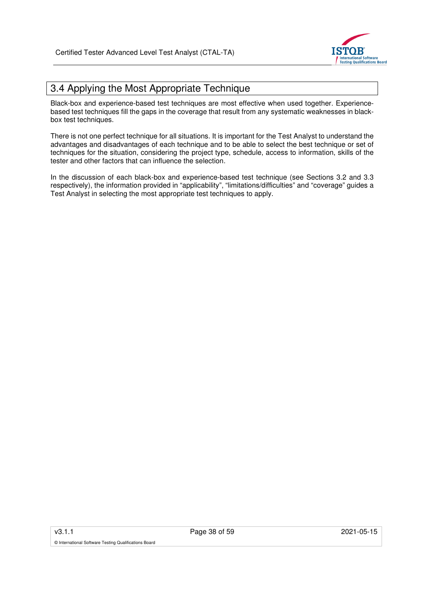

# 3.4 Applying the Most Appropriate Technique

Black-box and experience-based test techniques are most effective when used together. Experiencebased test techniques fill the gaps in the coverage that result from any systematic weaknesses in blackbox test techniques.

There is not one perfect technique for all situations. It is important for the Test Analyst to understand the advantages and disadvantages of each technique and to be able to select the best technique or set of techniques for the situation, considering the project type, schedule, access to information, skills of the tester and other factors that can influence the selection.

In the discussion of each black-box and experience-based test technique (see Sections 3.2 and 3.3 respectively), the information provided in "applicability", "limitations/difficulties" and "coverage" guides a Test Analyst in selecting the most appropriate test techniques to apply.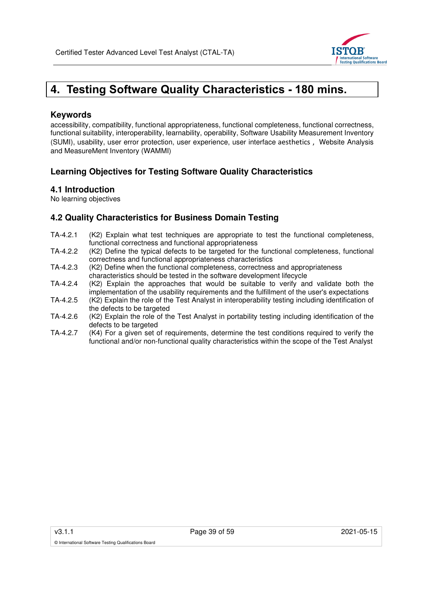

# **4. Testing Software Quality Characteristics - 180 mins.**

## **Keywords**

accessibility, compatibility, functional appropriateness, functional completeness, functional correctness, functional suitability, interoperability, learnability, operability, Software Usability Measurement Inventory (SUMI), usability, user error protection, user experience, user interface aesthetics , Website Analysis and MeasureMent Inventory (WAMMI)

## **Learning Objectives for Testing Software Quality Characteristics**

## **4.1 Introduction**

No learning objectives

## **4.2 Quality Characteristics for Business Domain Testing**

- TA-4.2.1 (K2) Explain what test techniques are appropriate to test the functional completeness, functional correctness and functional appropriateness
- TA-4.2.2 (K2) Define the typical defects to be targeted for the functional completeness, functional correctness and functional appropriateness characteristics
- TA-4.2.3 (K2) Define when the functional completeness, correctness and appropriateness characteristics should be tested in the software development lifecycle
- TA-4.2.4 (K2) Explain the approaches that would be suitable to verify and validate both the implementation of the usability requirements and the fulfillment of the user's expectations
- TA-4.2.5 (K2) Explain the role of the Test Analyst in interoperability testing including identification of the defects to be targeted
- TA-4.2.6 (K2) Explain the role of the Test Analyst in portability testing including identification of the defects to be targeted
- TA-4.2.7 (K4) For a given set of requirements, determine the test conditions required to verify the functional and/or non-functional quality characteristics within the scope of the Test Analyst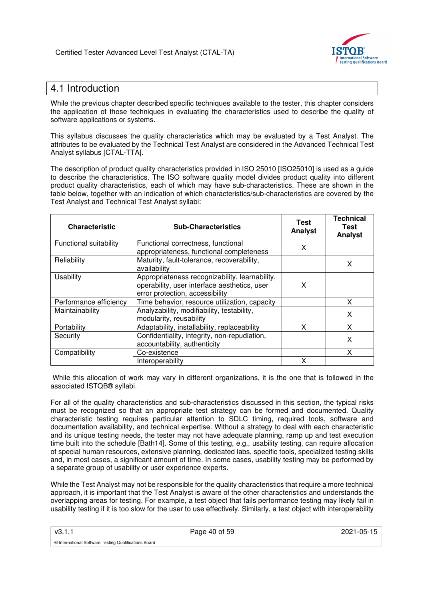

# 4.1 Introduction

While the previous chapter described specific techniques available to the tester, this chapter considers the application of those techniques in evaluating the characteristics used to describe the quality of software applications or systems.

This syllabus discusses the quality characteristics which may be evaluated by a Test Analyst. The attributes to be evaluated by the Technical Test Analyst are considered in the Advanced Technical Test Analyst syllabus [CTAL-TTA].

The description of product quality characteristics provided in ISO 25010 [ISO25010] is used as a guide to describe the characteristics. The ISO software quality model divides product quality into different product quality characteristics, each of which may have sub-characteristics. These are shown in the table below, together with an indication of which characteristics/sub-characteristics are covered by the Test Analyst and Technical Test Analyst syllabi:

| <b>Characteristic</b>  | <b>Sub-Characteristics</b>                                                                                                        | Test<br>Analyst | <b>Technical</b><br>Test<br>Analyst |
|------------------------|-----------------------------------------------------------------------------------------------------------------------------------|-----------------|-------------------------------------|
| Functional suitability | Functional correctness, functional<br>appropriateness, functional completeness                                                    | X               |                                     |
| Reliability            | Maturity, fault-tolerance, recoverability,<br>availability                                                                        |                 | X                                   |
| <b>Usability</b>       | Appropriateness recognizability, learnability,<br>operability, user interface aesthetics, user<br>error protection, accessibility | X               |                                     |
| Performance efficiency | Time behavior, resource utilization, capacity                                                                                     |                 | x                                   |
| Maintainability        | Analyzability, modifiability, testability,<br>modularity, reusability                                                             |                 | X                                   |
| Portability            | Adaptability, installability, replaceability                                                                                      | x               | x                                   |
| Security               | Confidentiality, integrity, non-repudiation,<br>accountability, authenticity                                                      |                 | X                                   |
| Compatibility          | Co-existence                                                                                                                      |                 |                                     |
|                        | Interoperability                                                                                                                  | x               |                                     |

 While this allocation of work may vary in different organizations, it is the one that is followed in the associated ISTQB® syllabi.

For all of the quality characteristics and sub-characteristics discussed in this section, the typical risks must be recognized so that an appropriate test strategy can be formed and documented. Quality characteristic testing requires particular attention to SDLC timing, required tools, software and documentation availability, and technical expertise. Without a strategy to deal with each characteristic and its unique testing needs, the tester may not have adequate planning, ramp up and test execution time built into the schedule [Bath14]. Some of this testing, e.g., usability testing, can require allocation of special human resources, extensive planning, dedicated labs, specific tools, specialized testing skills and, in most cases, a significant amount of time. In some cases, usability testing may be performed by a separate group of usability or user experience experts.

While the Test Analyst may not be responsible for the quality characteristics that require a more technical approach, it is important that the Test Analyst is aware of the other characteristics and understands the overlapping areas for testing. For example, a test object that fails performance testing may likely fail in usability testing if it is too slow for the user to use effectively. Similarly, a test object with interoperability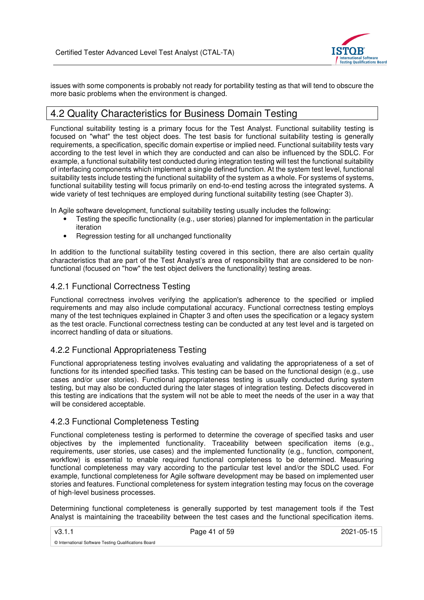

issues with some components is probably not ready for portability testing as that will tend to obscure the more basic problems when the environment is changed.

# 4.2 Quality Characteristics for Business Domain Testing

Functional suitability testing is a primary focus for the Test Analyst. Functional suitability testing is focused on "what" the test object does. The test basis for functional suitability testing is generally requirements, a specification, specific domain expertise or implied need. Functional suitability tests vary according to the test level in which they are conducted and can also be influenced by the SDLC. For example, a functional suitability test conducted during integration testing will test the functional suitability of interfacing components which implement a single defined function. At the system test level, functional suitability tests include testing the functional suitability of the system as a whole. For systems of systems, functional suitability testing will focus primarily on end-to-end testing across the integrated systems. A wide variety of test techniques are employed during functional suitability testing (see Chapter 3).

In Agile software development, functional suitability testing usually includes the following:

- Testing the specific functionality (e.g., user stories) planned for implementation in the particular iteration
- Regression testing for all unchanged functionality

In addition to the functional suitability testing covered in this section, there are also certain quality characteristics that are part of the Test Analyst's area of responsibility that are considered to be nonfunctional (focused on "how" the test object delivers the functionality) testing areas.

## 4.2.1 Functional Correctness Testing

Functional correctness involves verifying the application's adherence to the specified or implied requirements and may also include computational accuracy. Functional correctness testing employs many of the test techniques explained in Chapter 3 and often uses the specification or a legacy system as the test oracle. Functional correctness testing can be conducted at any test level and is targeted on incorrect handling of data or situations.

## 4.2.2 Functional Appropriateness Testing

Functional appropriateness testing involves evaluating and validating the appropriateness of a set of functions for its intended specified tasks. This testing can be based on the functional design (e.g., use cases and/or user stories). Functional appropriateness testing is usually conducted during system testing, but may also be conducted during the later stages of integration testing. Defects discovered in this testing are indications that the system will not be able to meet the needs of the user in a way that will be considered acceptable.

## 4.2.3 Functional Completeness Testing

Functional completeness testing is performed to determine the coverage of specified tasks and user objectives by the implemented functionality. Traceability between specification items (e.g., requirements, user stories, use cases) and the implemented functionality (e.g., function, component, workflow) is essential to enable required functional completeness to be determined. Measuring functional completeness may vary according to the particular test level and/or the SDLC used. For example, functional completeness for Agile software development may be based on implemented user stories and features. Functional completeness for system integration testing may focus on the coverage of high-level business processes.

Determining functional completeness is generally supported by test management tools if the Test Analyst is maintaining the traceability between the test cases and the functional specification items.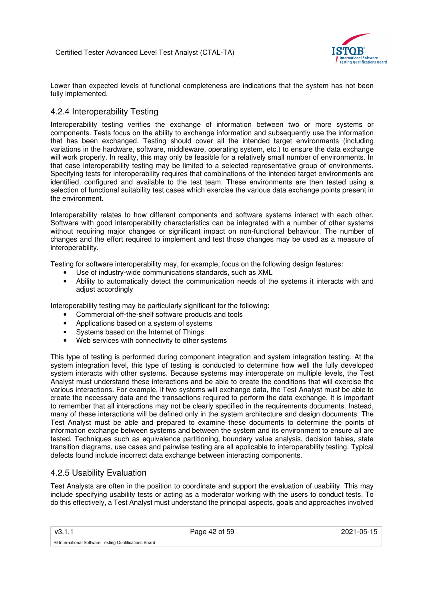

Lower than expected levels of functional completeness are indications that the system has not been fully implemented.

## 4.2.4 Interoperability Testing

Interoperability testing verifies the exchange of information between two or more systems or components. Tests focus on the ability to exchange information and subsequently use the information that has been exchanged. Testing should cover all the intended target environments (including variations in the hardware, software, middleware, operating system, etc.) to ensure the data exchange will work properly. In reality, this may only be feasible for a relatively small number of environments. In that case interoperability testing may be limited to a selected representative group of environments. Specifying tests for interoperability requires that combinations of the intended target environments are identified, configured and available to the test team. These environments are then tested using a selection of functional suitability test cases which exercise the various data exchange points present in the environment.

Interoperability relates to how different components and software systems interact with each other. Software with good interoperability characteristics can be integrated with a number of other systems without requiring major changes or significant impact on non-functional behaviour. The number of changes and the effort required to implement and test those changes may be used as a measure of interoperability.

Testing for software interoperability may, for example, focus on the following design features:

- Use of industry-wide communications standards, such as XML
- Ability to automatically detect the communication needs of the systems it interacts with and adjust accordingly

Interoperability testing may be particularly significant for the following:

- Commercial off-the-shelf software products and tools
- Applications based on a system of systems
- Systems based on the Internet of Things
- Web services with connectivity to other systems

This type of testing is performed during component integration and system integration testing. At the system integration level, this type of testing is conducted to determine how well the fully developed system interacts with other systems. Because systems may interoperate on multiple levels, the Test Analyst must understand these interactions and be able to create the conditions that will exercise the various interactions. For example, if two systems will exchange data, the Test Analyst must be able to create the necessary data and the transactions required to perform the data exchange. It is important to remember that all interactions may not be clearly specified in the requirements documents. Instead, many of these interactions will be defined only in the system architecture and design documents. The Test Analyst must be able and prepared to examine these documents to determine the points of information exchange between systems and between the system and its environment to ensure all are tested. Techniques such as equivalence partitioning, boundary value analysis, decision tables, state transition diagrams, use cases and pairwise testing are all applicable to interoperability testing. Typical defects found include incorrect data exchange between interacting components.

### 4.2.5 Usability Evaluation

Test Analysts are often in the position to coordinate and support the evaluation of usability. This may include specifying usability tests or acting as a moderator working with the users to conduct tests. To do this effectively, a Test Analyst must understand the principal aspects, goals and approaches involved

v3.1.1 **Page 42 of 59 2021-05-15** 2021-05-15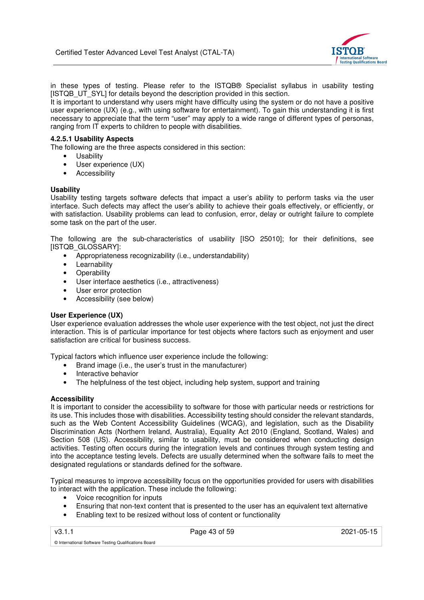

in these types of testing. Please refer to the ISTQB® Specialist syllabus in usability testing [ISTQB\_UT\_SYL] for details beyond the description provided in this section.

It is important to understand why users might have difficulty using the system or do not have a positive user experience (UX) (e.g., with using software for entertainment). To gain this understanding it is first necessary to appreciate that the term "user" may apply to a wide range of different types of personas, ranging from IT experts to children to people with disabilities.

#### **4.2.5.1 Usability Aspects**

The following are the three aspects considered in this section:

- **Usability**
- User experience (UX)
- Accessibility

#### **Usability**

Usability testing targets software defects that impact a user's ability to perform tasks via the user interface. Such defects may affect the user's ability to achieve their goals effectively, or efficiently, or with satisfaction. Usability problems can lead to confusion, error, delay or outright failure to complete some task on the part of the user.

The following are the sub-characteristics of usability [ISO 25010]; for their definitions, see [ISTQB\_GLOSSARY]:

- Appropriateness recognizability (i.e., understandability)
- Learnability
- Operability
- User interface aesthetics (i.e., attractiveness)
- User error protection
- Accessibility (see below)

#### **User Experience (UX)**

User experience evaluation addresses the whole user experience with the test object, not just the direct interaction. This is of particular importance for test objects where factors such as enjoyment and user satisfaction are critical for business success.

Typical factors which influence user experience include the following:

- Brand image (i.e., the user's trust in the manufacturer)
- Interactive behavior
- The helpfulness of the test object, including help system, support and training

#### **Accessibility**

It is important to consider the accessibility to software for those with particular needs or restrictions for its use. This includes those with disabilities. Accessibility testing should consider the relevant standards, such as the Web Content Accessibility Guidelines (WCAG), and legislation, such as the Disability Discrimination Acts (Northern Ireland, Australia), Equality Act 2010 (England, Scotland, Wales) and Section 508 (US). Accessibility, similar to usability, must be considered when conducting design activities. Testing often occurs during the integration levels and continues through system testing and into the acceptance testing levels. Defects are usually determined when the software fails to meet the designated regulations or standards defined for the software.

Typical measures to improve accessibility focus on the opportunities provided for users with disabilities to interact with the application. These include the following:

- Voice recognition for inputs
- Ensuring that non-text content that is presented to the user has an equivalent text alternative
- Enabling text to be resized without loss of content or functionality

v3.1.1 Page 43 of 59 2021-05-15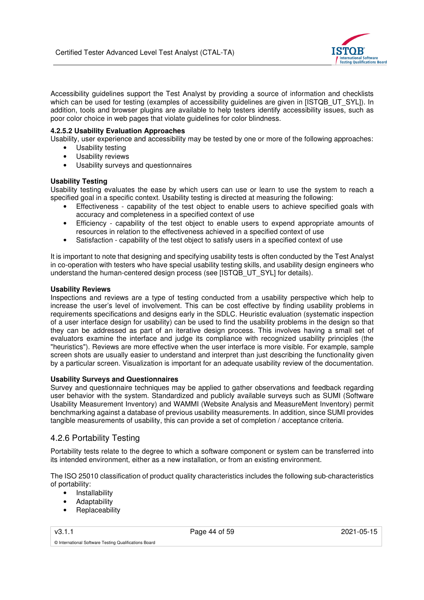

Accessibility guidelines support the Test Analyst by providing a source of information and checklists which can be used for testing (examples of accessibility guidelines are given in [ISTQB\_UT\_SYL]). In addition, tools and browser plugins are available to help testers identify accessibility issues, such as poor color choice in web pages that violate guidelines for color blindness.

### **4.2.5.2 Usability Evaluation Approaches**

Usability, user experience and accessibility may be tested by one or more of the following approaches:

- Usability testing
- Usability reviews
- Usability surveys and questionnaires

### **Usability Testing**

Usability testing evaluates the ease by which users can use or learn to use the system to reach a specified goal in a specific context. Usability testing is directed at measuring the following:

- Effectiveness capability of the test object to enable users to achieve specified goals with accuracy and completeness in a specified context of use
- Efficiency capability of the test object to enable users to expend appropriate amounts of resources in relation to the effectiveness achieved in a specified context of use
- Satisfaction capability of the test object to satisfy users in a specified context of use

It is important to note that designing and specifying usability tests is often conducted by the Test Analyst in co-operation with testers who have special usability testing skills, and usability design engineers who understand the human-centered design process (see [ISTQB\_UT\_SYL] for details).

#### **Usability Reviews**

Inspections and reviews are a type of testing conducted from a usability perspective which help to increase the user's level of involvement. This can be cost effective by finding usability problems in requirements specifications and designs early in the SDLC. Heuristic evaluation (systematic inspection of a user interface design for usability) can be used to find the usability problems in the design so that they can be addressed as part of an iterative design process. This involves having a small set of evaluators examine the interface and judge its compliance with recognized usability principles (the "heuristics"). Reviews are more effective when the user interface is more visible. For example, sample screen shots are usually easier to understand and interpret than just describing the functionality given by a particular screen. Visualization is important for an adequate usability review of the documentation.

#### **Usability Surveys and Questionnaires**

Survey and questionnaire techniques may be applied to gather observations and feedback regarding user behavior with the system. Standardized and publicly available surveys such as SUMI (Software Usability Measurement Inventory) and WAMMI (Website Analysis and MeasureMent Inventory) permit benchmarking against a database of previous usability measurements. In addition, since SUMI provides tangible measurements of usability, this can provide a set of completion / acceptance criteria.

## 4.2.6 Portability Testing

Portability tests relate to the degree to which a software component or system can be transferred into its intended environment, either as a new installation, or from an existing environment.

The ISO 25010 classification of product quality characteristics includes the following sub-characteristics of portability:

- Installability
- Adaptability
- **Replaceability**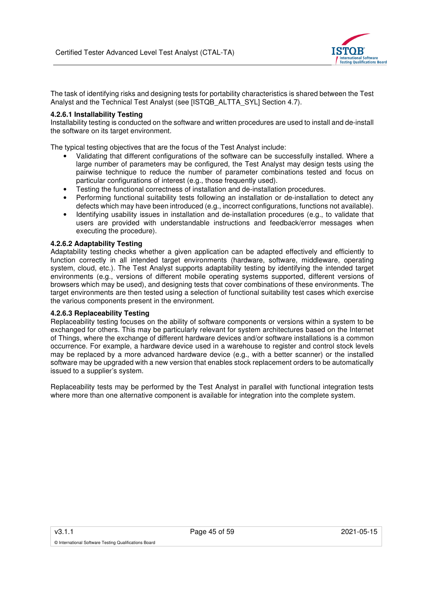

The task of identifying risks and designing tests for portability characteristics is shared between the Test Analyst and the Technical Test Analyst (see [ISTQB\_ALTTA\_SYL] Section 4.7).

#### **4.2.6.1 Installability Testing**

Installability testing is conducted on the software and written procedures are used to install and de-install the software on its target environment.

The typical testing objectives that are the focus of the Test Analyst include:

- Validating that different configurations of the software can be successfully installed. Where a large number of parameters may be configured, the Test Analyst may design tests using the pairwise technique to reduce the number of parameter combinations tested and focus on particular configurations of interest (e.g., those frequently used).
- Testing the functional correctness of installation and de-installation procedures.
- Performing functional suitability tests following an installation or de-installation to detect any defects which may have been introduced (e.g., incorrect configurations, functions not available).
- Identifying usability issues in installation and de-installation procedures (e.g., to validate that users are provided with understandable instructions and feedback/error messages when executing the procedure).

#### **4.2.6.2 Adaptability Testing**

Adaptability testing checks whether a given application can be adapted effectively and efficiently to function correctly in all intended target environments (hardware, software, middleware, operating system, cloud, etc.). The Test Analyst supports adaptability testing by identifying the intended target environments (e.g., versions of different mobile operating systems supported, different versions of browsers which may be used), and designing tests that cover combinations of these environments. The target environments are then tested using a selection of functional suitability test cases which exercise the various components present in the environment.

#### **4.2.6.3 Replaceability Testing**

Replaceability testing focuses on the ability of software components or versions within a system to be exchanged for others. This may be particularly relevant for system architectures based on the Internet of Things, where the exchange of different hardware devices and/or software installations is a common occurrence. For example, a hardware device used in a warehouse to register and control stock levels may be replaced by a more advanced hardware device (e.g., with a better scanner) or the installed software may be upgraded with a new version that enables stock replacement orders to be automatically issued to a supplier's system.

Replaceability tests may be performed by the Test Analyst in parallel with functional integration tests where more than one alternative component is available for integration into the complete system.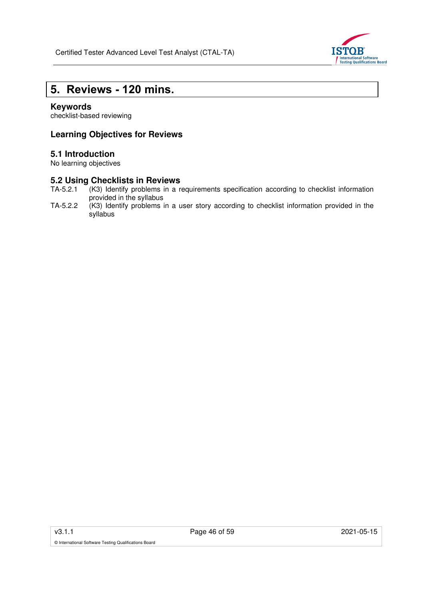

# **5. Reviews - 120 mins.**

## **Keywords**

checklist-based reviewing

## **Learning Objectives for Reviews**

## **5.1 Introduction**

No learning objectives

# **5.2 Using Checklists in Reviews**<br>TA-5.2.1 (K3) Identify problems in a r

- (K3) Identify problems in a requirements specification according to checklist information provided in the syllabus
- TA-5.2.2 (K3) Identify problems in a user story according to checklist information provided in the syllabus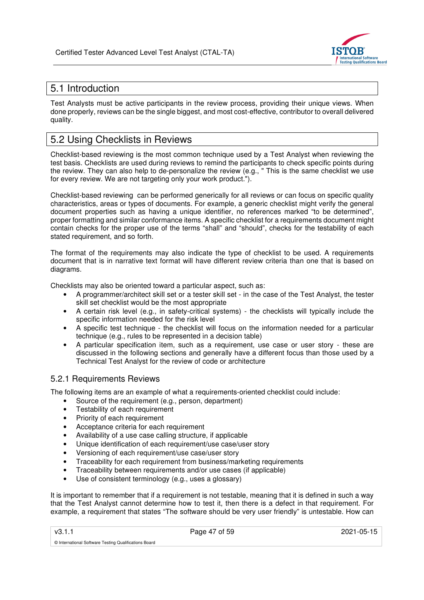

# 5.1 Introduction

Test Analysts must be active participants in the review process, providing their unique views. When done properly, reviews can be the single biggest, and most cost-effective, contributor to overall delivered quality.

# 5.2 Using Checklists in Reviews

Checklist-based reviewing is the most common technique used by a Test Analyst when reviewing the test basis. Checklists are used during reviews to remind the participants to check specific points during the review. They can also help to de-personalize the review (e.g., " This is the same checklist we use for every review. We are not targeting only your work product.").

Checklist-based reviewing can be performed generically for all reviews or can focus on specific quality characteristics, areas or types of documents. For example, a generic checklist might verify the general document properties such as having a unique identifier, no references marked "to be determined", proper formatting and similar conformance items. A specific checklist for a requirements document might contain checks for the proper use of the terms "shall" and "should", checks for the testability of each stated requirement, and so forth.

The format of the requirements may also indicate the type of checklist to be used. A requirements document that is in narrative text format will have different review criteria than one that is based on diagrams.

Checklists may also be oriented toward a particular aspect, such as:

- A programmer/architect skill set or a tester skill set in the case of the Test Analyst, the tester skill set checklist would be the most appropriate
- A certain risk level (e.g., in safety-critical systems) the checklists will typically include the specific information needed for the risk level
- A specific test technique the checklist will focus on the information needed for a particular technique (e.g., rules to be represented in a decision table)
- A particular specification item, such as a requirement, use case or user story these are discussed in the following sections and generally have a different focus than those used by a Technical Test Analyst for the review of code or architecture

## 5.2.1 Requirements Reviews

The following items are an example of what a requirements-oriented checklist could include:

- Source of the requirement (e.g., person, department)
- Testability of each requirement
- Priority of each requirement
- Acceptance criteria for each requirement
- Availability of a use case calling structure, if applicable
- Unique identification of each requirement/use case/user story
- Versioning of each requirement/use case/user story
- Traceability for each requirement from business/marketing requirements
- Traceability between requirements and/or use cases (if applicable)
- Use of consistent terminology (e.g., uses a glossary)

It is important to remember that if a requirement is not testable, meaning that it is defined in such a way that the Test Analyst cannot determine how to test it, then there is a defect in that requirement. For example, a requirement that states "The software should be very user friendly" is untestable. How can

v3.1.1 Page 47 of 59 2021-05-15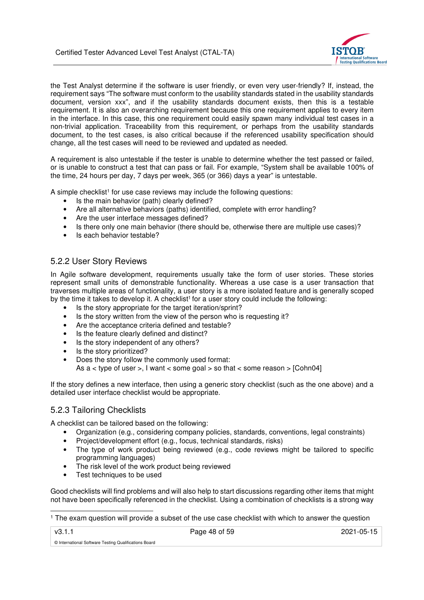

the Test Analyst determine if the software is user friendly, or even very user-friendly? If, instead, the requirement says "The software must conform to the usability standards stated in the usability standards document, version xxx", and if the usability standards document exists, then this is a testable requirement. It is also an overarching requirement because this one requirement applies to every item in the interface. In this case, this one requirement could easily spawn many individual test cases in a non-trivial application. Traceability from this requirement, or perhaps from the usability standards document, to the test cases, is also critical because if the referenced usability specification should change, all the test cases will need to be reviewed and updated as needed.

A requirement is also untestable if the tester is unable to determine whether the test passed or failed, or is unable to construct a test that can pass or fail. For example, "System shall be available 100% of the time, 24 hours per day, 7 days per week, 365 (or 366) days a year" is untestable.

A simple checklist<sup>1</sup> for use case reviews may include the following questions:

- Is the main behavior (path) clearly defined?
- Are all alternative behaviors (paths) identified, complete with error handling?
- Are the user interface messages defined?
- Is there only one main behavior (there should be, otherwise there are multiple use cases)?
- Is each behavior testable?

## 5.2.2 User Story Reviews

In Agile software development, requirements usually take the form of user stories. These stories represent small units of demonstrable functionality. Whereas a use case is a user transaction that traverses multiple areas of functionality, a user story is a more isolated feature and is generally scoped by the time it takes to develop it. A checklist<sup>1</sup> for a user story could include the following:

- Is the story appropriate for the target iteration/sprint?
- Is the story written from the view of the person who is requesting it?
- Are the acceptance criteria defined and testable?
- Is the feature clearly defined and distinct?
- Is the story independent of any others?
- Is the story prioritized?
- Does the story follow the commonly used format: As  $a <$  type of user  $>$ , I want  $<$  some goal  $>$  so that  $<$  some reason  $>$  [Cohn04]

If the story defines a new interface, then using a generic story checklist (such as the one above) and a detailed user interface checklist would be appropriate.

### 5.2.3 Tailoring Checklists

A checklist can be tailored based on the following:

- Organization (e.g., considering company policies, standards, conventions, legal constraints)
- Project/development effort (e.g., focus, technical standards, risks)
- The type of work product being reviewed (e.g., code reviews might be tailored to specific programming languages)
- The risk level of the work product being reviewed
- Test techniques to be used

Good checklists will find problems and will also help to start discussions regarding other items that might not have been specifically referenced in the checklist. Using a combination of checklists is a strong way

1 The exam question will provide a subset of the use case checklist with which to answer the question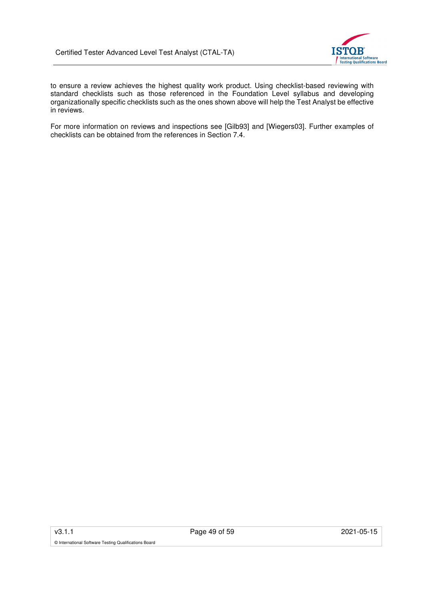

to ensure a review achieves the highest quality work product. Using checklist-based reviewing with standard checklists such as those referenced in the Foundation Level syllabus and developing organizationally specific checklists such as the ones shown above will help the Test Analyst be effective in reviews.

For more information on reviews and inspections see [Gilb93] and [Wiegers03]. Further examples of checklists can be obtained from the references in Section 7.4.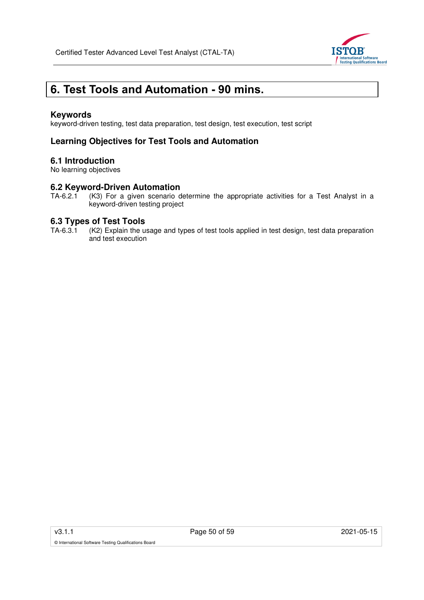

# **6. Test Tools and Automation - 90 mins.**

### **Keywords**

keyword-driven testing, test data preparation, test design, test execution, test script

## **Learning Objectives for Test Tools and Automation**

### **6.1 Introduction**

No learning objectives

# **6.2 Keyword-Driven Automation**<br>TA-6.2.1 (K3) For a given scenario d

(K3) For a given scenario determine the appropriate activities for a Test Analyst in a keyword-driven testing project

# **6.3 Types of Test Tools**<br>TA-6.3.1 (K2) Explain the us

(K2) Explain the usage and types of test tools applied in test design, test data preparation and test execution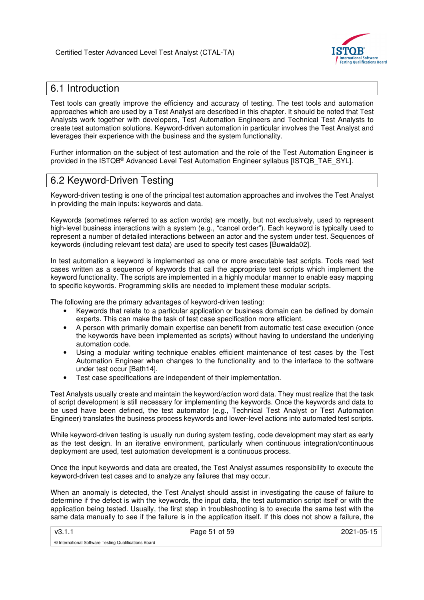

# 6.1 Introduction

Test tools can greatly improve the efficiency and accuracy of testing. The test tools and automation approaches which are used by a Test Analyst are described in this chapter. It should be noted that Test Analysts work together with developers, Test Automation Engineers and Technical Test Analysts to create test automation solutions. Keyword-driven automation in particular involves the Test Analyst and leverages their experience with the business and the system functionality.

Further information on the subject of test automation and the role of the Test Automation Engineer is provided in the ISTQB® Advanced Level Test Automation Engineer syllabus [ISTQB\_TAE\_SYL].

## 6.2 Keyword-Driven Testing

Keyword-driven testing is one of the principal test automation approaches and involves the Test Analyst in providing the main inputs: keywords and data.

Keywords (sometimes referred to as action words) are mostly, but not exclusively, used to represent high-level business interactions with a system (e.g., "cancel order"). Each keyword is typically used to represent a number of detailed interactions between an actor and the system under test. Sequences of keywords (including relevant test data) are used to specify test cases [Buwalda02].

In test automation a keyword is implemented as one or more executable test scripts. Tools read test cases written as a sequence of keywords that call the appropriate test scripts which implement the keyword functionality. The scripts are implemented in a highly modular manner to enable easy mapping to specific keywords. Programming skills are needed to implement these modular scripts.

The following are the primary advantages of keyword-driven testing:

- Keywords that relate to a particular application or business domain can be defined by domain experts. This can make the task of test case specification more efficient.
- A person with primarily domain expertise can benefit from automatic test case execution (once the keywords have been implemented as scripts) without having to understand the underlying automation code.
- Using a modular writing technique enables efficient maintenance of test cases by the Test Automation Engineer when changes to the functionality and to the interface to the software under test occur [Bath14].
- Test case specifications are independent of their implementation.

Test Analysts usually create and maintain the keyword/action word data. They must realize that the task of script development is still necessary for implementing the keywords. Once the keywords and data to be used have been defined, the test automator (e.g., Technical Test Analyst or Test Automation Engineer) translates the business process keywords and lower-level actions into automated test scripts.

While keyword-driven testing is usually run during system testing, code development may start as early as the test design. In an iterative environment, particularly when continuous integration/continuous deployment are used, test automation development is a continuous process.

Once the input keywords and data are created, the Test Analyst assumes responsibility to execute the keyword-driven test cases and to analyze any failures that may occur.

When an anomaly is detected, the Test Analyst should assist in investigating the cause of failure to determine if the defect is with the keywords, the input data, the test automation script itself or with the application being tested. Usually, the first step in troubleshooting is to execute the same test with the same data manually to see if the failure is in the application itself. If this does not show a failure, the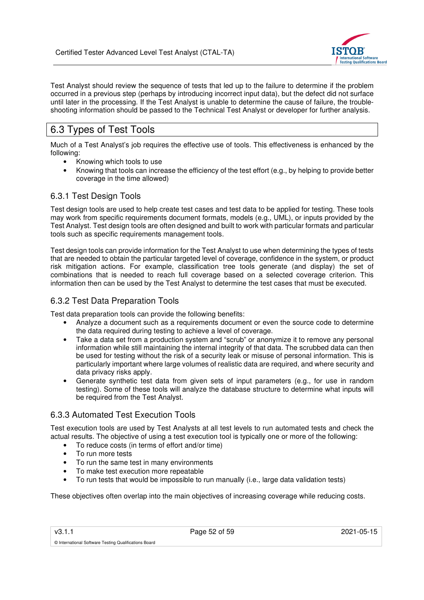

Test Analyst should review the sequence of tests that led up to the failure to determine if the problem occurred in a previous step (perhaps by introducing incorrect input data), but the defect did not surface until later in the processing. If the Test Analyst is unable to determine the cause of failure, the troubleshooting information should be passed to the Technical Test Analyst or developer for further analysis.

# 6.3 Types of Test Tools

Much of a Test Analyst's job requires the effective use of tools. This effectiveness is enhanced by the following:

- Knowing which tools to use
- Knowing that tools can increase the efficiency of the test effort (e.g., by helping to provide better coverage in the time allowed)

## 6.3.1 Test Design Tools

Test design tools are used to help create test cases and test data to be applied for testing. These tools may work from specific requirements document formats, models (e.g., UML), or inputs provided by the Test Analyst. Test design tools are often designed and built to work with particular formats and particular tools such as specific requirements management tools.

Test design tools can provide information for the Test Analyst to use when determining the types of tests that are needed to obtain the particular targeted level of coverage, confidence in the system, or product risk mitigation actions. For example, classification tree tools generate (and display) the set of combinations that is needed to reach full coverage based on a selected coverage criterion. This information then can be used by the Test Analyst to determine the test cases that must be executed.

## 6.3.2 Test Data Preparation Tools

Test data preparation tools can provide the following benefits:

- Analyze a document such as a requirements document or even the source code to determine the data required during testing to achieve a level of coverage.
- Take a data set from a production system and "scrub" or anonymize it to remove any personal information while still maintaining the internal integrity of that data. The scrubbed data can then be used for testing without the risk of a security leak or misuse of personal information. This is particularly important where large volumes of realistic data are required, and where security and data privacy risks apply.
- Generate synthetic test data from given sets of input parameters (e.g., for use in random testing). Some of these tools will analyze the database structure to determine what inputs will be required from the Test Analyst.

## 6.3.3 Automated Test Execution Tools

Test execution tools are used by Test Analysts at all test levels to run automated tests and check the actual results. The objective of using a test execution tool is typically one or more of the following:

- To reduce costs (in terms of effort and/or time)
- To run more tests

© International Software Testing Qualifications Board

- To run the same test in many environments
- To make test execution more repeatable
- To run tests that would be impossible to run manually (i.e., large data validation tests)

These objectives often overlap into the main objectives of increasing coverage while reducing costs.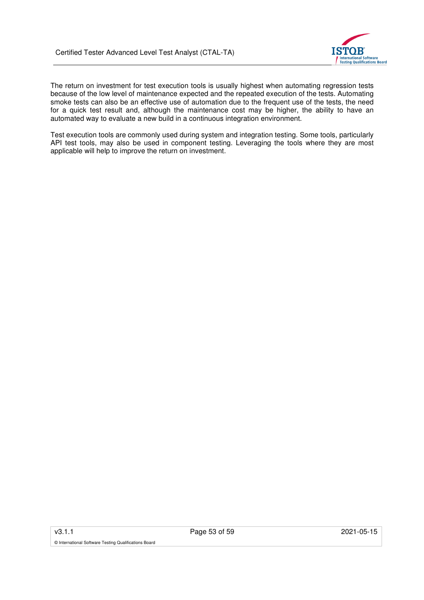

The return on investment for test execution tools is usually highest when automating regression tests because of the low level of maintenance expected and the repeated execution of the tests. Automating smoke tests can also be an effective use of automation due to the frequent use of the tests, the need for a quick test result and, although the maintenance cost may be higher, the ability to have an automated way to evaluate a new build in a continuous integration environment.

Test execution tools are commonly used during system and integration testing. Some tools, particularly API test tools, may also be used in component testing. Leveraging the tools where they are most applicable will help to improve the return on investment.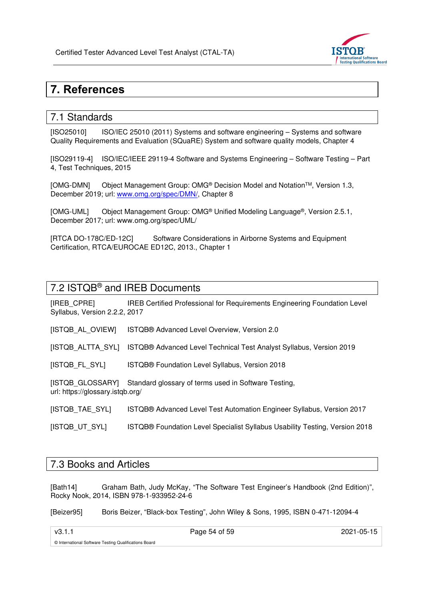

# **7. References**

## 7.1 Standards

[ISO25010] ISO/IEC 25010 (2011) Systems and software engineering – Systems and software Quality Requirements and Evaluation (SQuaRE) System and software quality models, Chapter 4

[ISO29119-4] ISO/IEC/IEEE 29119-4 Software and Systems Engineering – Software Testing – Part 4, Test Techniques, 2015

[OMG-DMN] Object Management Group: OMG® Decision Model and NotationTM, Version 1.3, December 2019; url: www.omg.org/spec/DMN/, Chapter 8

[OMG-UML] Object Management Group: OMG® Unified Modeling Language®, Version 2.5.1, December 2017; url: www.omg.org/spec/UML/

[RTCA DO-178C/ED-12C] Software Considerations in Airborne Systems and Equipment Certification, RTCA/EUROCAE ED12C, 2013., Chapter 1

## 7.2 ISTQB® and IREB Documents

[IREB\_CPRE] IREB Certified Professional for Requirements Engineering Foundation Level Syllabus, Version 2.2.2, 2017

[ISTQB\_AL\_OVIEW] ISTQB® Advanced Level Overview, Version 2.0

[ISTQB\_ALTTA\_SYL] ISTQB® Advanced Level Technical Test Analyst Syllabus, Version 2019

[ISTQB\_FL\_SYL] ISTQB® Foundation Level Syllabus, Version 2018

[ISTQB\_GLOSSARY] Standard glossary of terms used in Software Testing, url: https://glossary.istqb.org/

[ISTQB\_TAE\_SYL] ISTQB® Advanced Level Test Automation Engineer Syllabus, Version 2017

[ISTQB\_UT\_SYL] ISTQB® Foundation Level Specialist Syllabus Usability Testing, Version 2018

## 7.3 Books and Articles

[Bath14] Graham Bath, Judy McKay, "The Software Test Engineer's Handbook (2nd Edition)", Rocky Nook, 2014, ISBN 978-1-933952-24-6

[Beizer95] Boris Beizer, "Black-box Testing", John Wiley & Sons, 1995, ISBN 0-471-12094-4

v3.1.1 Page 54 of 59 2021-05-15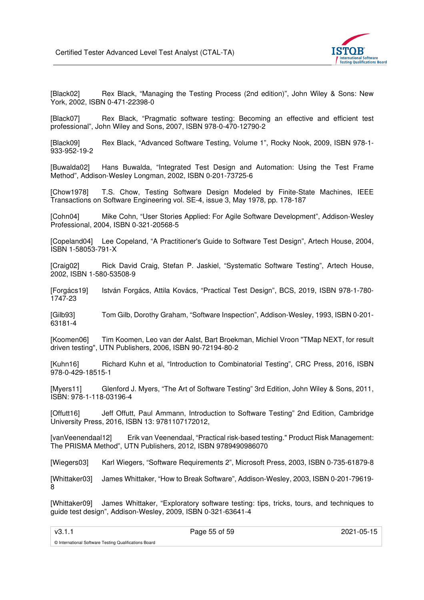

[Black02] Rex Black, "Managing the Testing Process (2nd edition)", John Wiley & Sons: New York, 2002, ISBN 0-471-22398-0

[Black07] Rex Black, "Pragmatic software testing: Becoming an effective and efficient test professional", John Wiley and Sons, 2007, ISBN 978-0-470-12790-2

[Black09] Rex Black, "Advanced Software Testing, Volume 1", Rocky Nook, 2009, ISBN 978-1- 933-952-19-2

[Buwalda02] Hans Buwalda, "Integrated Test Design and Automation: Using the Test Frame Method", Addison-Wesley Longman, 2002, ISBN 0-201-73725-6

[Chow1978] T.S. Chow, Testing Software Design Modeled by Finite-State Machines, IEEE Transactions on Software Engineering vol. SE-4, issue 3, May 1978, pp. 178-187

[Cohn04] Mike Cohn, "User Stories Applied: For Agile Software Development", Addison-Wesley Professional, 2004, ISBN 0-321-20568-5

[Copeland04] Lee Copeland, "A Practitioner's Guide to Software Test Design", Artech House, 2004, ISBN 1-58053-791-X

[Craig02] Rick David Craig, Stefan P. Jaskiel, "Systematic Software Testing", Artech House, 2002, ISBN 1-580-53508-9

[Forgács19] István Forgács, Attila Kovács, "Practical Test Design", BCS, 2019, ISBN 978-1-780- 1747-23

[Gilb93] Tom Gilb, Dorothy Graham, "Software Inspection", Addison-Wesley, 1993, ISBN 0-201- 63181-4

[Koomen06] Tim Koomen, Leo van der Aalst, Bart Broekman, Michiel Vroon "TMap NEXT, for result driven testing", UTN Publishers, 2006, ISBN 90-72194-80-2

[Kuhn16] Richard Kuhn et al, "Introduction to Combinatorial Testing", CRC Press, 2016, ISBN 978-0-429-18515-1

[Myers11] Glenford J. Myers, "The Art of Software Testing" 3rd Edition, John Wiley & Sons, 2011, ISBN: 978-1-118-03196-4

[Offutt16] Jeff Offutt, Paul Ammann, Introduction to Software Testing" 2nd Edition, Cambridge University Press, 2016, ISBN 13: 9781107172012,

[vanVeenendaal12] Erik van Veenendaal, "Practical risk-based testing." Product Risk Management: The PRISMA Method", UTN Publishers, 2012, ISBN 9789490986070

[Wiegers03] Karl Wiegers, "Software Requirements 2", Microsoft Press, 2003, ISBN 0-735-61879-8

[Whittaker03] James Whittaker, "How to Break Software", Addison-Wesley, 2003, ISBN 0-201-79619- 8

[Whittaker09] James Whittaker, "Exploratory software testing: tips, tricks, tours, and techniques to guide test design", Addison-Wesley, 2009, ISBN 0-321-63641-4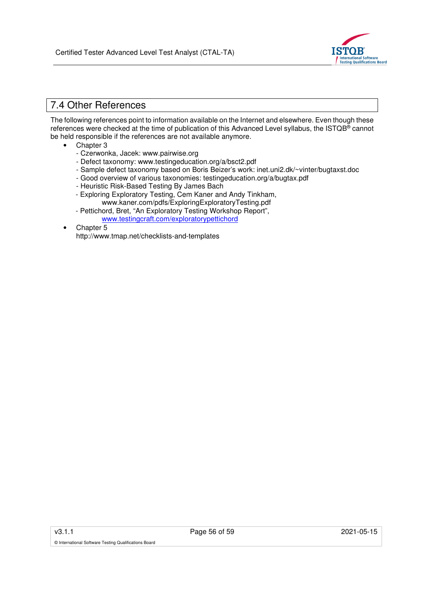

## 7.4 Other References

The following references point to information available on the Internet and elsewhere. Even though these references were checked at the time of publication of this Advanced Level syllabus, the ISTQB® cannot be held responsible if the references are not available anymore.

- Chapter 3
	- Czerwonka, Jacek: www.pairwise.org
	- Defect taxonomy: www.testingeducation.org/a/bsct2.pdf
	- Sample defect taxonomy based on Boris Beizer's work: inet.uni2.dk/~vinter/bugtaxst.doc
	- Good overview of various taxonomies: testingeducation.org/a/bugtax.pdf
	- Heuristic Risk-Based Testing By James Bach
	- Exploring Exploratory Testing, Cem Kaner and Andy Tinkham,
		- www.kaner.com/pdfs/ExploringExploratoryTesting.pdf
	- Pettichord, Bret, "An Exploratory Testing Workshop Report", www.testingcraft.com/exploratorypettichord
- Chapter 5

http://www.tmap.net/checklists-and-templates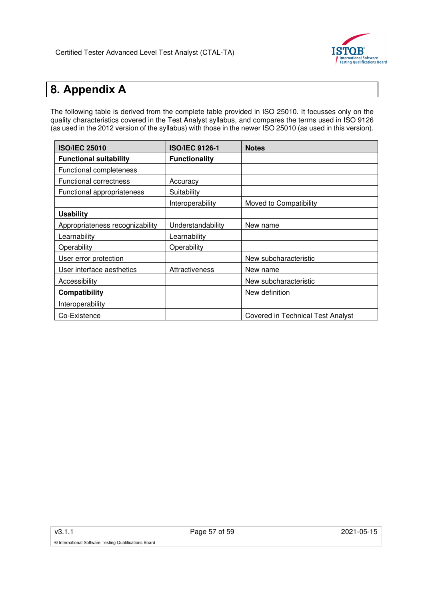

# **8. Appendix A**

The following table is derived from the complete table provided in ISO 25010. It focusses only on the quality characteristics covered in the Test Analyst syllabus, and compares the terms used in ISO 9126 (as used in the 2012 version of the syllabus) with those in the newer ISO 25010 (as used in this version).

| <b>ISO/IEC 25010</b>            | <b>ISO/IEC 9126-1</b> | <b>Notes</b>                      |  |
|---------------------------------|-----------------------|-----------------------------------|--|
| <b>Functional suitability</b>   | <b>Functionality</b>  |                                   |  |
| Functional completeness         |                       |                                   |  |
| <b>Functional correctness</b>   | Accuracy              |                                   |  |
| Functional appropriateness      | Suitability           |                                   |  |
|                                 | Interoperability      | Moved to Compatibility            |  |
| <b>Usability</b>                |                       |                                   |  |
| Appropriateness recognizability | Understandability     | New name                          |  |
| Learnability                    | Learnability          |                                   |  |
| Operability                     | Operability           |                                   |  |
| User error protection           |                       | New subcharacteristic             |  |
| User interface aesthetics       | Attractiveness        | New name                          |  |
| Accessibility                   |                       | New subcharacteristic             |  |
| Compatibility                   |                       | New definition                    |  |
| Interoperability                |                       |                                   |  |
| Co-Existence                    |                       | Covered in Technical Test Analyst |  |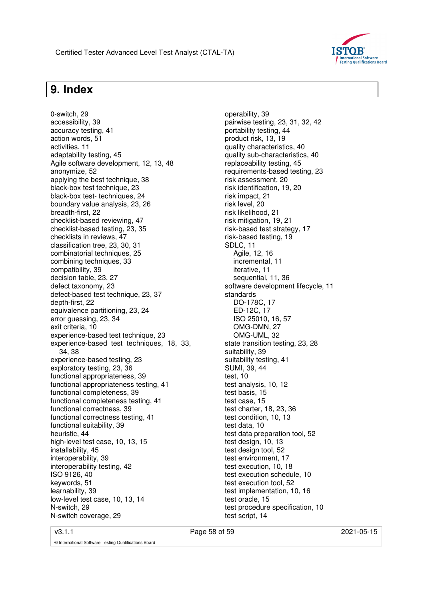

# **9. Index**

0-switch, 29

accessibility, 39 accuracy testing, 41 action words, 51 activities, 11 adaptability testing, 45 Agile software development, 12, 13, 48 anonymize, 52 applying the best technique, 38 black-box test technique, 23 black-box test- techniques, 24 boundary value analysis, 23, 26 breadth-first, 22 checklist-based reviewing, 47 checklist-based testing, 23, 35 checklists in reviews, 47 classification tree, 23, 30, 31 combinatorial techniques, 25 combining techniques, 33 compatibility, 39 decision table, 23, 27 defect taxonomy, 23 defect-based test technique, 23, 37 depth-first, 22 equivalence partitioning, 23, 24 error guessing, 23, 34 exit criteria, 10 experience-based test technique, 23 experience-based test techniques, 18, 33, 34, 38 experience-based testing, 23 exploratory testing, 23, 36 functional appropriateness, 39 functional appropriateness testing, 41 functional completeness, 39 functional completeness testing, 41 functional correctness, 39 functional correctness testing, 41 functional suitability, 39 heuristic, 44 high-level test case, 10, 13, 15 installability, 45 interoperability, 39 interoperability testing, 42 ISO 9126, 40 keywords, 51 learnability, 39 low-level test case, 10, 13, 14 N-switch, 29 N-switch coverage, 29

operability, 39 pairwise testing, 23, 31, 32, 42 portability testing, 44 product risk, 13, 19 quality characteristics, 40 quality sub-characteristics, 40 replaceability testing, 45 requirements-based testing, 23 risk assessment, 20 risk identification, 19, 20 risk impact, 21 risk level, 20 risk likelihood, 21 risk mitigation, 19, 21 risk-based test strategy, 17 risk-based testing, 19 SDLC, 11 Agile, 12, 16 incremental, 11 iterative, 11 sequential, 11, 36 software development lifecycle, 11 standards DO-178C, 17 ED-12C, 17 ISO 25010, 16, 57 OMG-DMN, 27 OMG-UML, 32 state transition testing, 23, 28 suitability, 39 suitability testing, 41 SUMI, 39, 44 test, 10 test analysis, 10, 12 test basis, 15 test case, 15 test charter, 18, 23, 36 test condition, 10, 13 test data, 10 test data preparation tool, 52 test design, 10, 13 test design tool, 52 test environment, 17 test execution, 10, 18 test execution schedule, 10 test execution tool, 52 test implementation, 10, 16 test oracle, 15 test procedure specification, 10 test script, 14

v3.1.1 **Page 58 of 59 2021-05-15** 2021-05-15